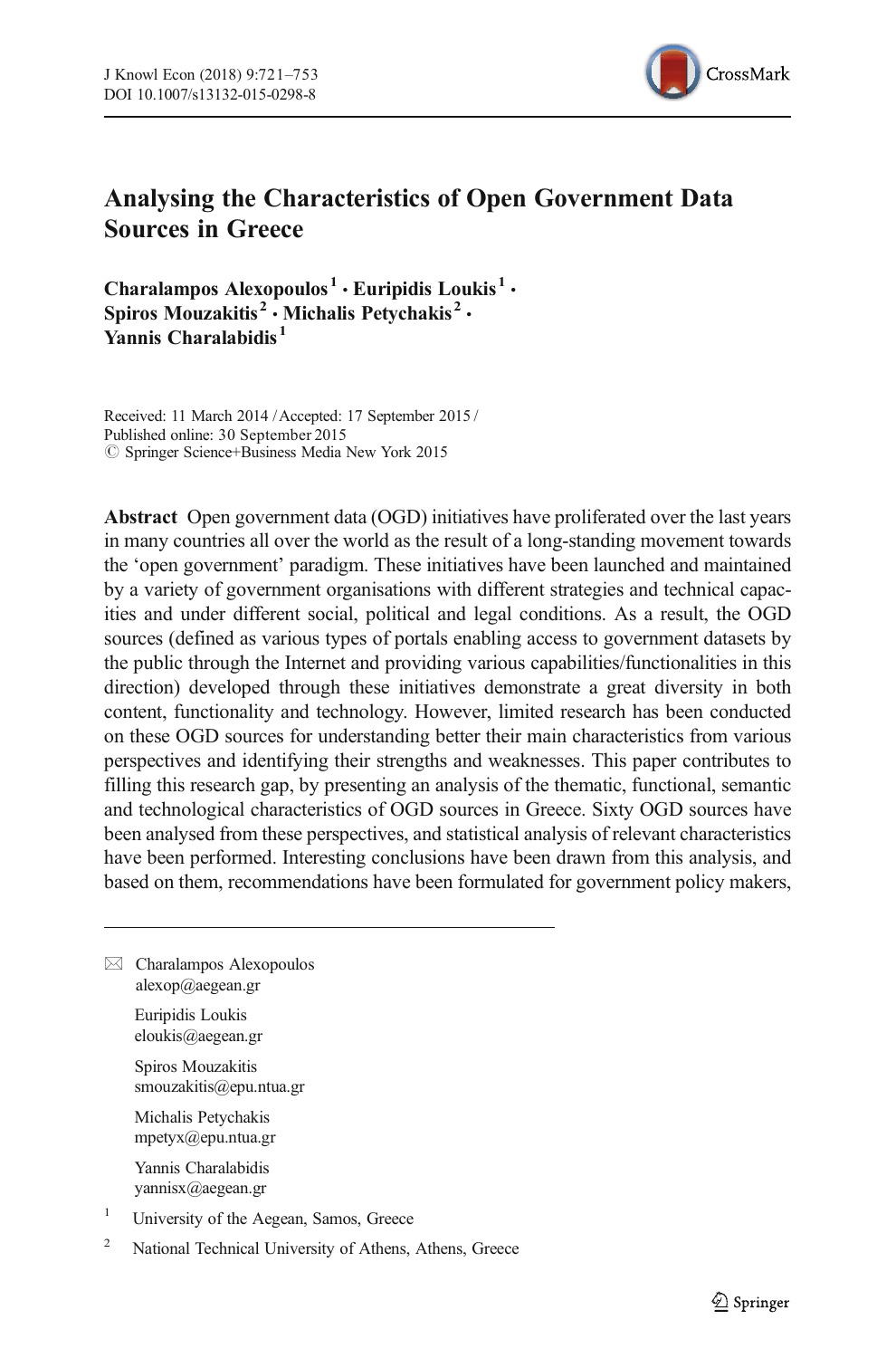

# Analysing the Characteristics of Open Government Data Sources in Greece

Charalampos Alexopoulos<sup>1</sup> · Euripidis Loukis<sup>1</sup> · Spiros Mouzakitis<sup>2</sup>  $\cdot$  Michalis Petychakis<sup>2</sup>  $\cdot$  $\hat{V}$ annis Charalabidis $^1$ 

Received: 11 March 2014 /Accepted: 17 September 2015 /  $\oslash$  Springer Science+Business Media New York 2015 Published online: 30 September 2015

Abstract Open government data (OGD) initiatives have proliferated over the last years in many countries all over the world as the result of a long-standing movement towards the 'open government' paradigm. These initiatives have been launched and maintained by a variety of government organisations with different strategies and technical capacities and under different social, political and legal conditions. As a result, the OGD sources (defined as various types of portals enabling access to government datasets by the public through the Internet and providing various capabilities/functionalities in this direction) developed through these initiatives demonstrate a great diversity in both content, functionality and technology. However, limited research has been conducted on these OGD sources for understanding better their main characteristics from various perspectives and identifying their strengths and weaknesses. This paper contributes to filling this research gap, by presenting an analysis of the thematic, functional, semantic and technological characteristics of OGD sources in Greece. Sixty OGD sources have been analysed from these perspectives, and statistical analysis of relevant characteristics have been performed. Interesting conclusions have been drawn from this analysis, and based on them, recommendations have been formulated for government policy makers,

 $\boxtimes$  Charalampos Alexopoulos alexop@aegean.gr

> Euripidis Loukis eloukis@aegean.gr

Spiros Mouzakitis smouzakitis@epu.ntua.gr

Michalis Petychakis mpetyx@epu.ntua.gr

Yannis Charalabidis yannisx@aegean.gr

<sup>1</sup> University of the Aegean, Samos, Greece

<sup>2</sup> National Technical University of Athens, Athens, Greece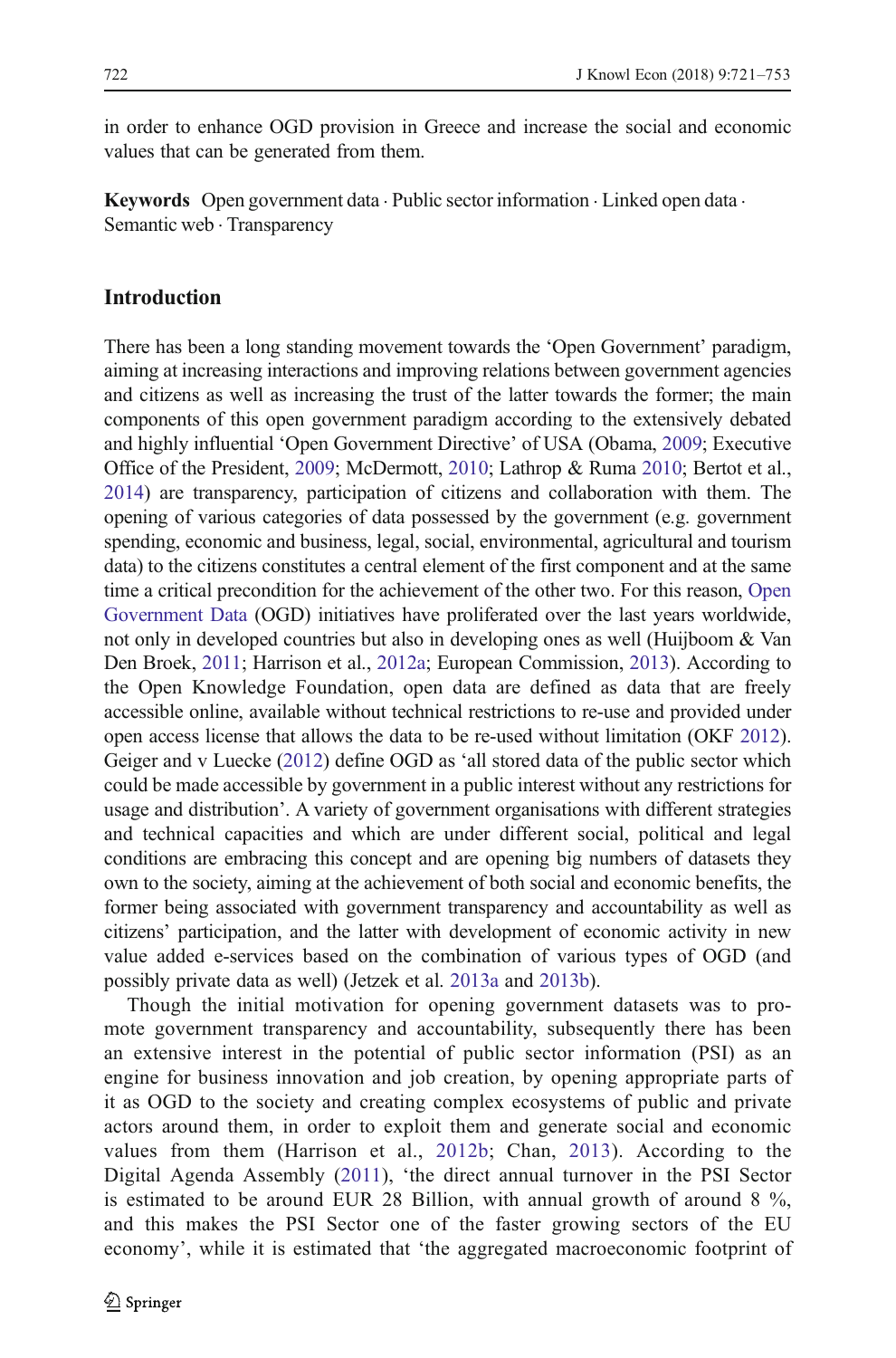<span id="page-1-0"></span>in order to enhance OGD provision in Greece and increase the social and economic values that can be generated from them.

Keywords Open government data . Public sector information . Linked open data . Semantic web . Transparency

### Introduction

There has been a long standing movement towards the 'Open Government' paradigm, aiming at increasing interactions and improving relations between government agencies and citizens as well as increasing the trust of the latter towards the former; the main components of this open government paradigm according to the extensively debated and highly influential 'Open Government Directive' of USA (Obama, [2009](#page-31-0); Executive Office of the President, [2009](#page-30-0); McDermott, [2010;](#page-31-0) Lathrop & Ruma [2010;](#page-31-0) Bertot et al., [2014\)](#page-30-0) are transparency, participation of citizens and collaboration with them. The opening of various categories of data possessed by the government (e.g. government spending, economic and business, legal, social, environmental, agricultural and tourism data) to the citizens constitutes a central element of the first component and at the same time a critical precondition for the achievement of the other two. For this reason, [Open](#page-3-0) [Government Data](#page-3-0) (OGD) initiatives have proliferated over the last years worldwide, not only in developed countries but also in developing ones as well (Huijboom & Van Den Broek, [2011](#page-31-0); Harrison et al., [2012a;](#page-30-0) European Commission, [2013](#page-30-0)). According to the Open Knowledge Foundation, open data are defined as data that are freely accessible online, available without technical restrictions to re-use and provided under open access license that allows the data to be re-used without limitation (OKF [2012\)](#page-31-0). Geiger and v Luecke [\(2012\)](#page-30-0) define OGD as 'all stored data of the public sector which could be made accessible by government in a public interest without any restrictions for usage and distribution'. A variety of government organisations with different strategies and technical capacities and which are under different social, political and legal conditions are embracing this concept and are opening big numbers of datasets they own to the society, aiming at the achievement of both social and economic benefits, the former being associated with government transparency and accountability as well as citizens' participation, and the latter with development of economic activity in new value added e-services based on the combination of various types of OGD (and possibly private data as well) (Jetzek et al. [2013a](#page-31-0) and [2013b](#page-31-0)).

Though the initial motivation for opening government datasets was to promote government transparency and accountability, subsequently there has been an extensive interest in the potential of public sector information (PSI) as an engine for business innovation and job creation, by opening appropriate parts of it as OGD to the society and creating complex ecosystems of public and private actors around them, in order to exploit them and generate social and economic values from them (Harrison et al., [2012b;](#page-30-0) Chan, [2013](#page-30-0)). According to the Digital Agenda Assembly [\(2011](#page-30-0)), 'the direct annual turnover in the PSI Sector is estimated to be around EUR 28 Billion, with annual growth of around 8 %, and this makes the PSI Sector one of the faster growing sectors of the EU economy', while it is estimated that 'the aggregated macroeconomic footprint of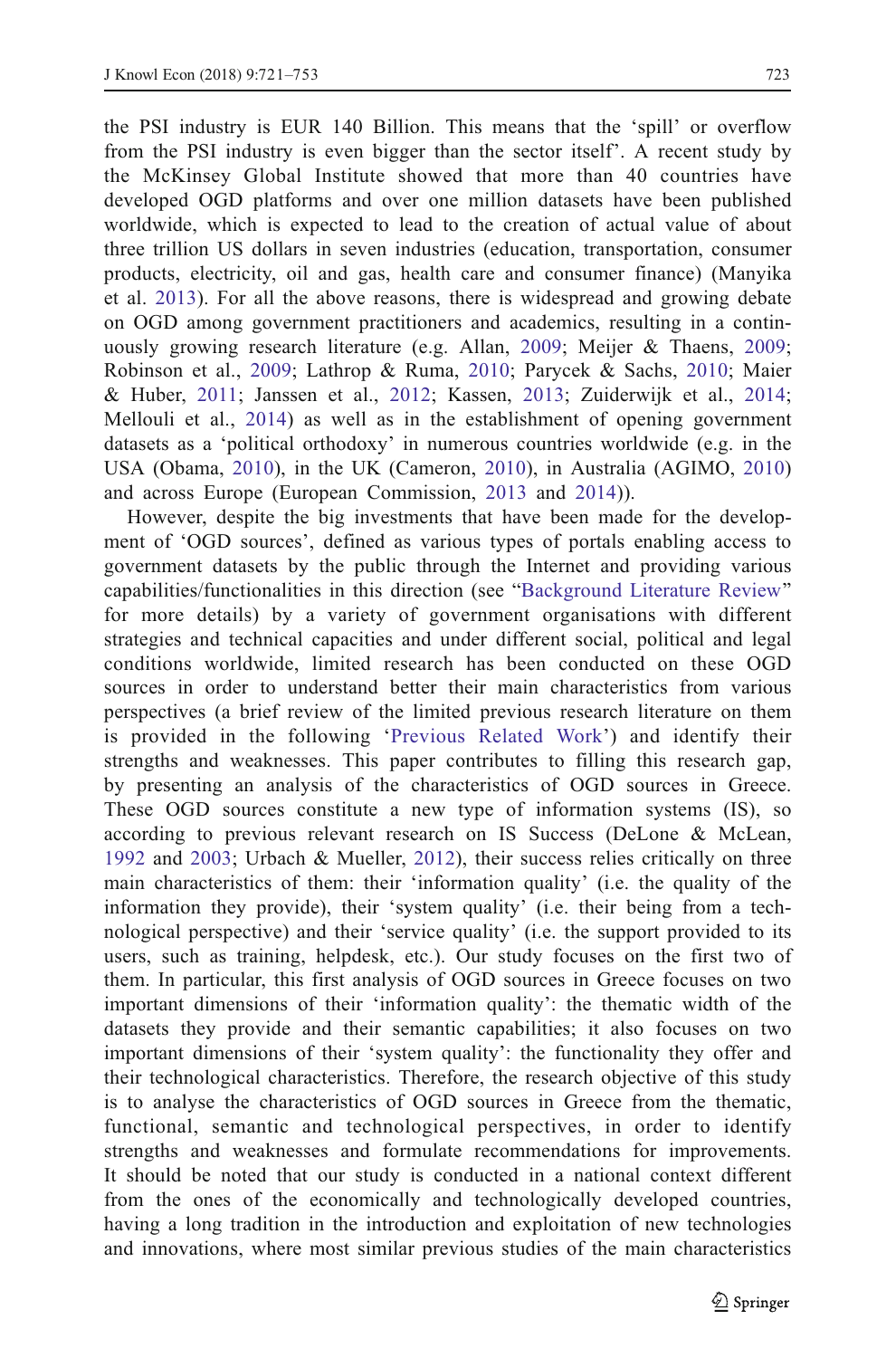the PSI industry is EUR 140 Billion. This means that the 'spill' or overflow from the PSI industry is even bigger than the sector itself'. A recent study by the McKinsey Global Institute showed that more than 40 countries have developed OGD platforms and over one million datasets have been published worldwide, which is expected to lead to the creation of actual value of about three trillion US dollars in seven industries (education, transportation, consumer products, electricity, oil and gas, health care and consumer finance) (Manyika et al. [2013\)](#page-31-0). For all the above reasons, there is widespread and growing debate on OGD among government practitioners and academics, resulting in a continuously growing research literature (e.g. Allan, [2009;](#page-30-0) Meijer & Thaens, [2009;](#page-31-0) Robinson et al., [2009](#page-31-0); Lathrop & Ruma, [2010](#page-31-0); Parycek & Sachs, [2010](#page-31-0); Maier & Huber, [2011;](#page-31-0) Janssen et al., [2012;](#page-31-0) Kassen, [2013;](#page-31-0) Zuiderwijk et al., [2014;](#page-32-0) Mellouli et al., [2014\)](#page-31-0) as well as in the establishment of opening government datasets as a 'political orthodoxy' in numerous countries worldwide (e.g. in the USA (Obama, [2010](#page-31-0)), in the UK (Cameron, [2010](#page-30-0)), in Australia (AGIMO, [2010](#page-30-0)) and across Europe (European Commission, [2013](#page-30-0) and [2014\)](#page-30-0)).

However, despite the big investments that have been made for the development of 'OGD sources', defined as various types of portals enabling access to government datasets by the public through the Internet and providing various capabilities/functionalities in this direction (see "[Background Literature Review](#page-3-0)" for more details) by a variety of government organisations with different strategies and technical capacities and under different social, political and legal conditions worldwide, limited research has been conducted on these OGD sources in order to understand better their main characteristics from various perspectives (a brief review of the limited previous research literature on them is provided in the following '[Previous Related Work](#page-8-0)') and identify their strengths and weaknesses. This paper contributes to filling this research gap, by presenting an analysis of the characteristics of OGD sources in Greece. These OGD sources constitute a new type of information systems (IS), so according to previous relevant research on IS Success (DeLone & McLean, [1992](#page-30-0) and [2003;](#page-30-0) Urbach & Mueller, [2012](#page-31-0)), their success relies critically on three main characteristics of them: their 'information quality' (i.e. the quality of the information they provide), their 'system quality' (i.e. their being from a technological perspective) and their 'service quality' (i.e. the support provided to its users, such as training, helpdesk, etc.). Our study focuses on the first two of them. In particular, this first analysis of OGD sources in Greece focuses on two important dimensions of their 'information quality': the thematic width of the datasets they provide and their semantic capabilities; it also focuses on two important dimensions of their 'system quality': the functionality they offer and their technological characteristics. Therefore, the research objective of this study is to analyse the characteristics of OGD sources in Greece from the thematic, functional, semantic and technological perspectives, in order to identify strengths and weaknesses and formulate recommendations for improvements. It should be noted that our study is conducted in a national context different from the ones of the economically and technologically developed countries, having a long tradition in the introduction and exploitation of new technologies and innovations, where most similar previous studies of the main characteristics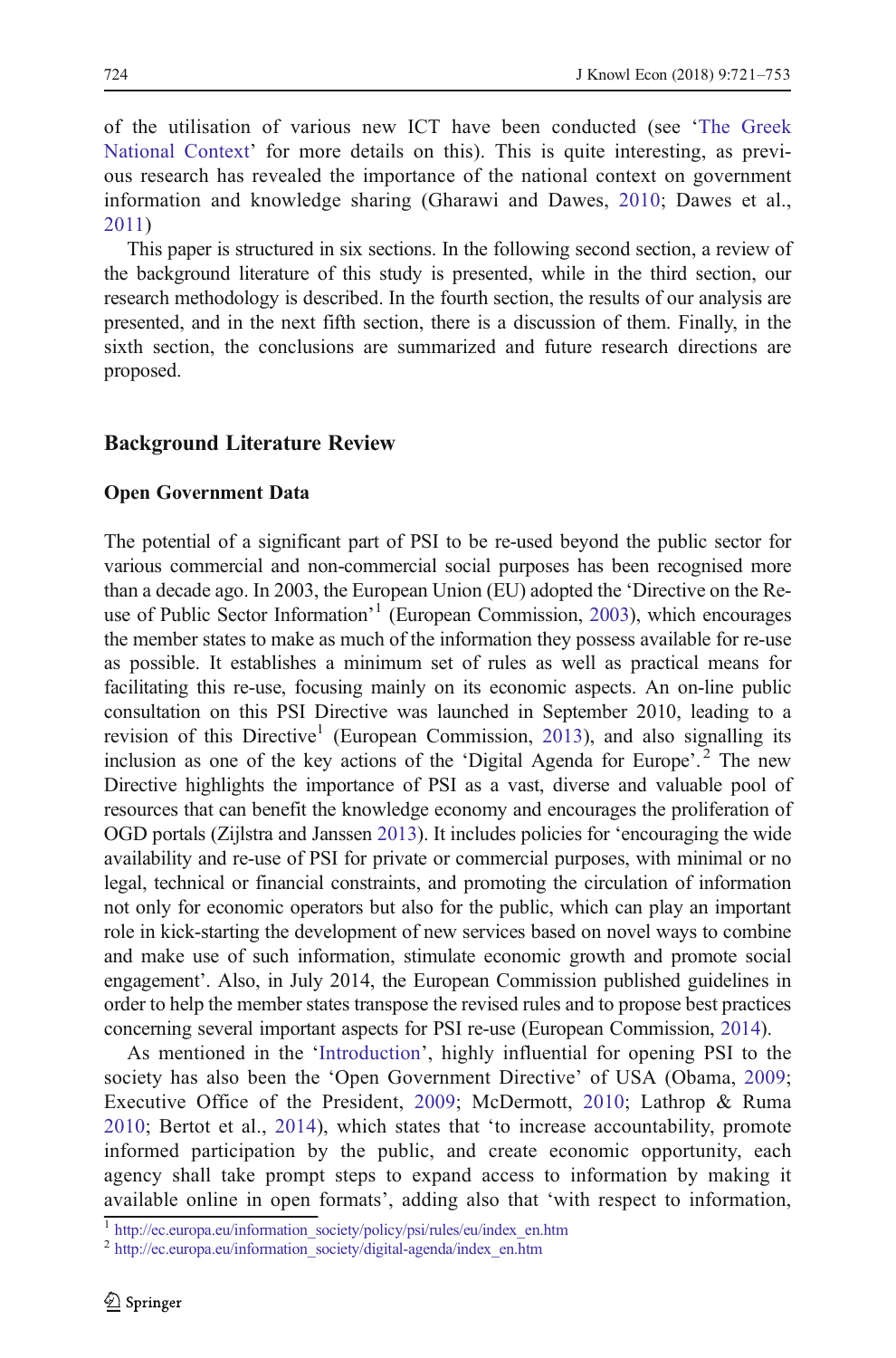<span id="page-3-0"></span>of the utilisation of various new ICT have been conducted (see '[The Greek](#page-9-0) [National Context](#page-9-0)' for more details on this). This is quite interesting, as previous research has revealed the importance of the national context on government information and knowledge sharing (Gharawi and Dawes, [2010](#page-30-0); Dawes et al., [2011](#page-30-0))

This paper is structured in six sections. In the following second section, a review of the background literature of this study is presented, while in the third section, our research methodology is described. In the fourth section, the results of our analysis are presented, and in the next fifth section, there is a discussion of them. Finally, in the sixth section, the conclusions are summarized and future research directions are proposed.

#### Background Literature Review

#### Open Government Data

The potential of a significant part of PSI to be re-used beyond the public sector for various commercial and non-commercial social purposes has been recognised more than a decade ago. In 2003, the European Union (EU) adopted the 'Directive on the Re-use of Public Sector Information<sup>, 1</sup> (European Commission, [2003\)](#page-30-0), which encourages the member states to make as much of the information they possess available for re-use as possible. It establishes a minimum set of rules as well as practical means for facilitating this re-use, focusing mainly on its economic aspects. An on-line public consultation on this PSI Directive was launched in September 2010, leading to a revision of this Directive<sup>1</sup> (European Commission, [2013](#page-30-0)), and also signalling its inclusion as one of the key actions of the 'Digital Agenda for Europe'. <sup>2</sup> The new Directive highlights the importance of PSI as a vast, diverse and valuable pool of resources that can benefit the knowledge economy and encourages the proliferation of OGD portals (Zijlstra and Janssen [2013\)](#page-31-0). It includes policies for 'encouraging the wide availability and re-use of PSI for private or commercial purposes, with minimal or no legal, technical or financial constraints, and promoting the circulation of information not only for economic operators but also for the public, which can play an important role in kick-starting the development of new services based on novel ways to combine and make use of such information, stimulate economic growth and promote social engagement'. Also, in July 2014, the European Commission published guidelines in order to help the member states transpose the revised rules and to propose best practices concerning several important aspects for PSI re-use (European Commission, [2014](#page-30-0)).

As mentioned in the '[Introduction](#page-1-0)', highly influential for opening PSI to the society has also been the 'Open Government Directive' of USA (Obama, [2009;](#page-31-0) Executive Office of the President, [2009;](#page-30-0) McDermott, [2010;](#page-31-0) Lathrop & Ruma [2010](#page-31-0); Bertot et al., [2014](#page-30-0)), which states that 'to increase accountability, promote informed participation by the public, and create economic opportunity, each agency shall take prompt steps to expand access to information by making it available online in open formats', adding also that 'with respect to information,

<sup>1</sup> [http://ec.europa.eu/information\\_society/policy/psi/rules/eu/index\\_en.htm](http://ec.europa.eu/information_society/policy/psi/rules/eu/index_en.htm)

<sup>2</sup> [http://ec.europa.eu/information\\_society/digital-agenda/index\\_en.htm](http://ec.europa.eu/information_society/digital-agenda/index_en.htm)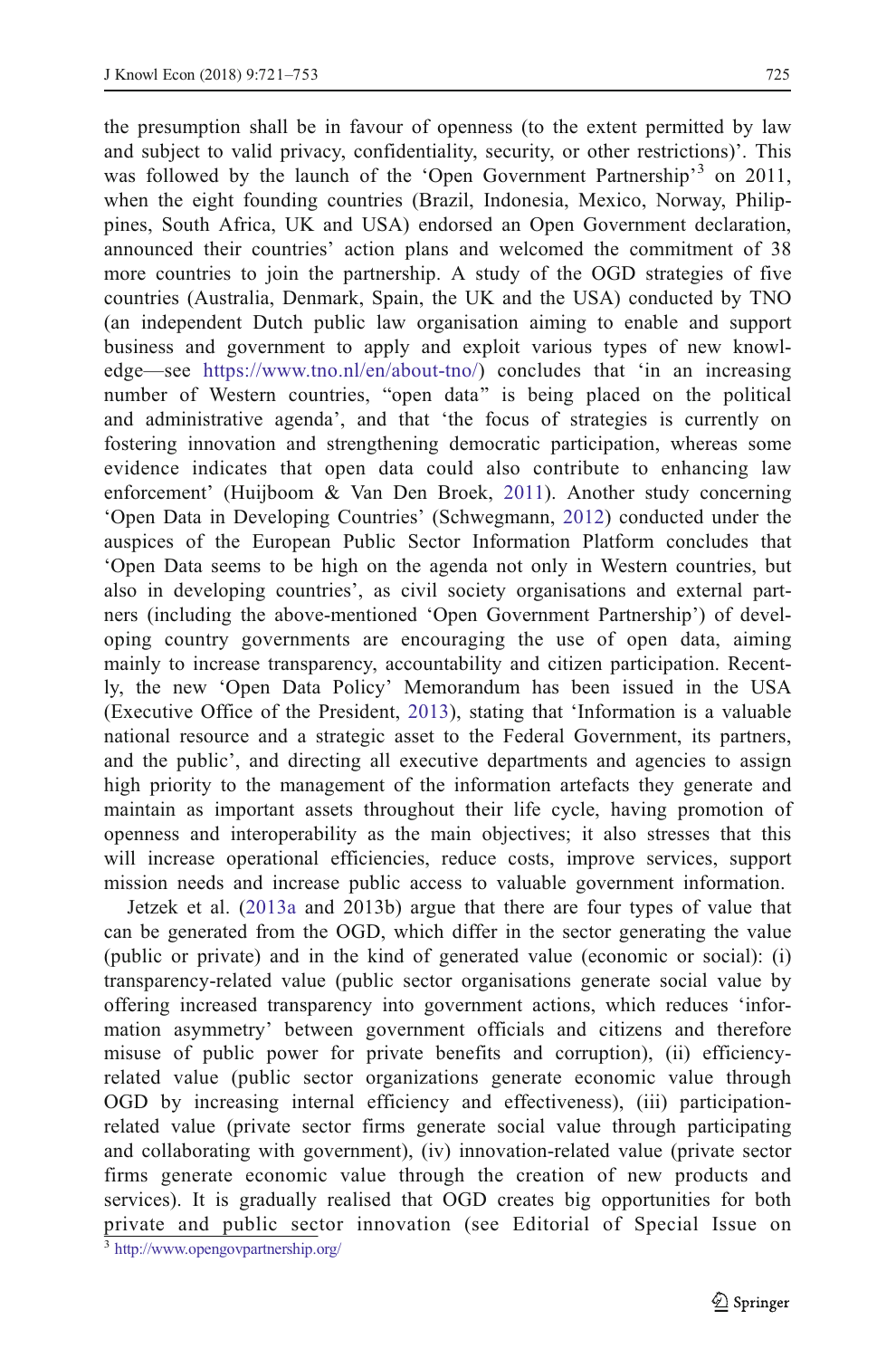the presumption shall be in favour of openness (to the extent permitted by law and subject to valid privacy, confidentiality, security, or other restrictions)'. This was followed by the launch of the 'Open Government Partnership'<sup>3</sup> on 2011, when the eight founding countries (Brazil, Indonesia, Mexico, Norway, Philippines, South Africa, UK and USA) endorsed an Open Government declaration, announced their countries' action plans and welcomed the commitment of 38 more countries to join the partnership. A study of the OGD strategies of five countries (Australia, Denmark, Spain, the UK and the USA) conducted by TNO (an independent Dutch public law organisation aiming to enable and support business and government to apply and exploit various types of new knowledge—see [https://www.tno.nl/en/about-tno/\)](https://www.tno.nl/en/about-tno/) concludes that 'in an increasing number of Western countries, "open data" is being placed on the political and administrative agenda', and that 'the focus of strategies is currently on fostering innovation and strengthening democratic participation, whereas some evidence indicates that open data could also contribute to enhancing law enforcement' (Huijboom & Van Den Broek, [2011](#page-31-0)). Another study concerning 'Open Data in Developing Countries' (Schwegmann, [2012\)](#page-31-0) conducted under the auspices of the European Public Sector Information Platform concludes that 'Open Data seems to be high on the agenda not only in Western countries, but also in developing countries', as civil society organisations and external partners (including the above-mentioned 'Open Government Partnership') of developing country governments are encouraging the use of open data, aiming mainly to increase transparency, accountability and citizen participation. Recently, the new 'Open Data Policy' Memorandum has been issued in the USA (Executive Office of the President, [2013\)](#page-30-0), stating that 'Information is a valuable national resource and a strategic asset to the Federal Government, its partners, and the public', and directing all executive departments and agencies to assign high priority to the management of the information artefacts they generate and maintain as important assets throughout their life cycle, having promotion of openness and interoperability as the main objectives; it also stresses that this will increase operational efficiencies, reduce costs, improve services, support mission needs and increase public access to valuable government information.

Jetzek et al. ([2013a](#page-31-0) and 2013b) argue that there are four types of value that can be generated from the OGD, which differ in the sector generating the value (public or private) and in the kind of generated value (economic or social): (i) transparency-related value (public sector organisations generate social value by offering increased transparency into government actions, which reduces 'information asymmetry' between government officials and citizens and therefore misuse of public power for private benefits and corruption), (ii) efficiencyrelated value (public sector organizations generate economic value through OGD by increasing internal efficiency and effectiveness), (iii) participationrelated value (private sector firms generate social value through participating and collaborating with government), (iv) innovation-related value (private sector firms generate economic value through the creation of new products and services). It is gradually realised that OGD creates big opportunities for both private and public sector innovation (see Editorial of Special Issue on

<sup>3</sup> <http://www.opengovpartnership.org/>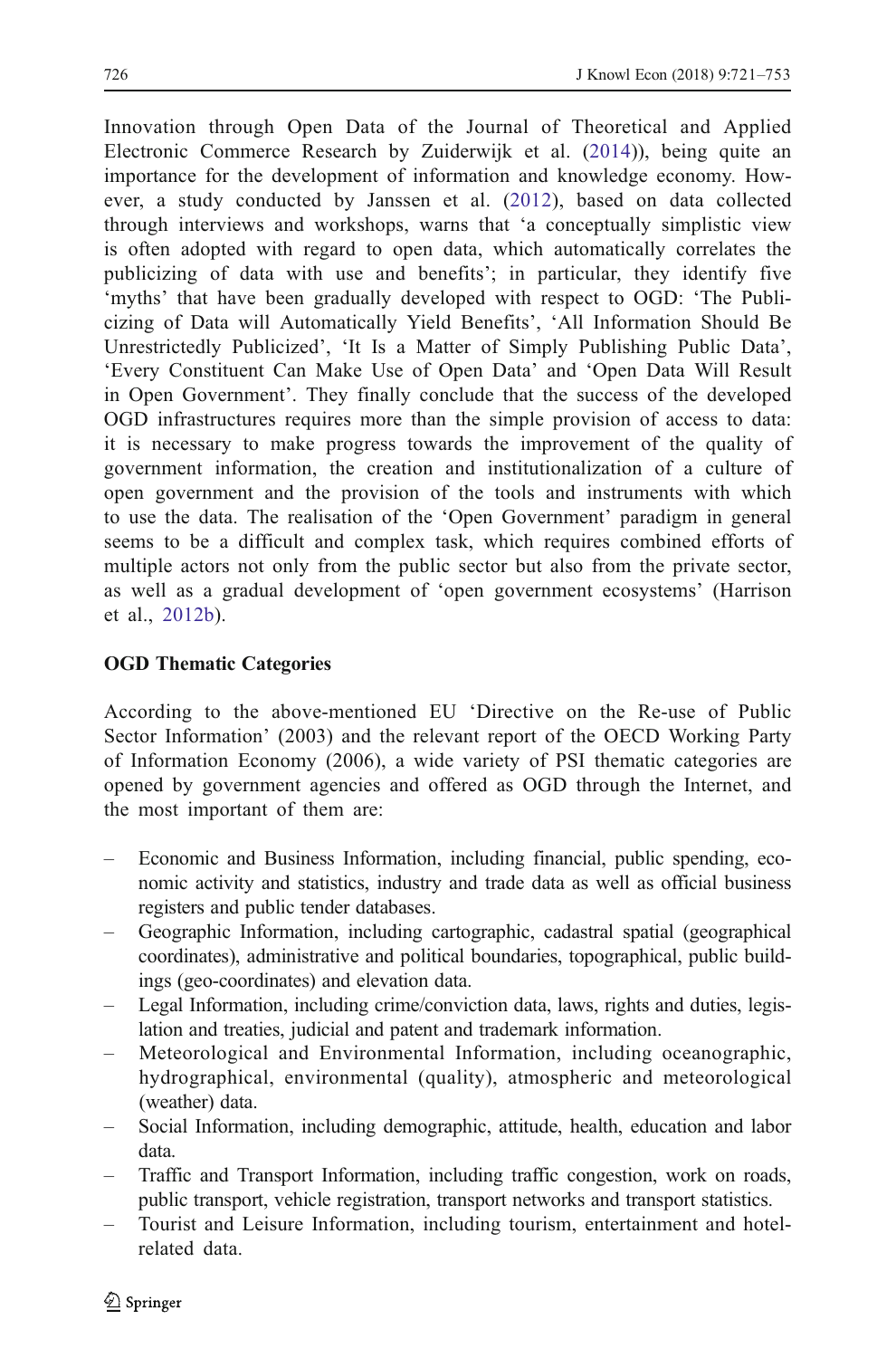Innovation through Open Data of the Journal of Theoretical and Applied Electronic Commerce Research by Zuiderwijk et al. [\(2014\)](#page-32-0)), being quite an importance for the development of information and knowledge economy. However, a study conducted by Janssen et al. [\(2012\)](#page-31-0), based on data collected through interviews and workshops, warns that 'a conceptually simplistic view is often adopted with regard to open data, which automatically correlates the publicizing of data with use and benefits'; in particular, they identify five 'myths' that have been gradually developed with respect to OGD: 'The Publicizing of Data will Automatically Yield Benefits', 'All Information Should Be Unrestrictedly Publicized', 'It Is a Matter of Simply Publishing Public Data', 'Every Constituent Can Make Use of Open Data' and 'Open Data Will Result in Open Government'. They finally conclude that the success of the developed OGD infrastructures requires more than the simple provision of access to data: it is necessary to make progress towards the improvement of the quality of government information, the creation and institutionalization of a culture of open government and the provision of the tools and instruments with which to use the data. The realisation of the 'Open Government' paradigm in general seems to be a difficult and complex task, which requires combined efforts of multiple actors not only from the public sector but also from the private sector, as well as a gradual development of 'open government ecosystems' (Harrison et al., [2012b](#page-30-0)).

# OGD Thematic Categories

According to the above-mentioned EU 'Directive on the Re-use of Public Sector Information' (2003) and the relevant report of the OECD Working Party of Information Economy (2006), a wide variety of PSI thematic categories are opened by government agencies and offered as OGD through the Internet, and the most important of them are:

- Economic and Business Information, including financial, public spending, economic activity and statistics, industry and trade data as well as official business registers and public tender databases.
- Geographic Information, including cartographic, cadastral spatial (geographical coordinates), administrative and political boundaries, topographical, public buildings (geo-coordinates) and elevation data.
- Legal Information, including crime/conviction data, laws, rights and duties, legislation and treaties, judicial and patent and trademark information.
- Meteorological and Environmental Information, including oceanographic, hydrographical, environmental (quality), atmospheric and meteorological (weather) data.
- Social Information, including demographic, attitude, health, education and labor data.
- Traffic and Transport Information, including traffic congestion, work on roads, public transport, vehicle registration, transport networks and transport statistics.
- Tourist and Leisure Information, including tourism, entertainment and hotelrelated data.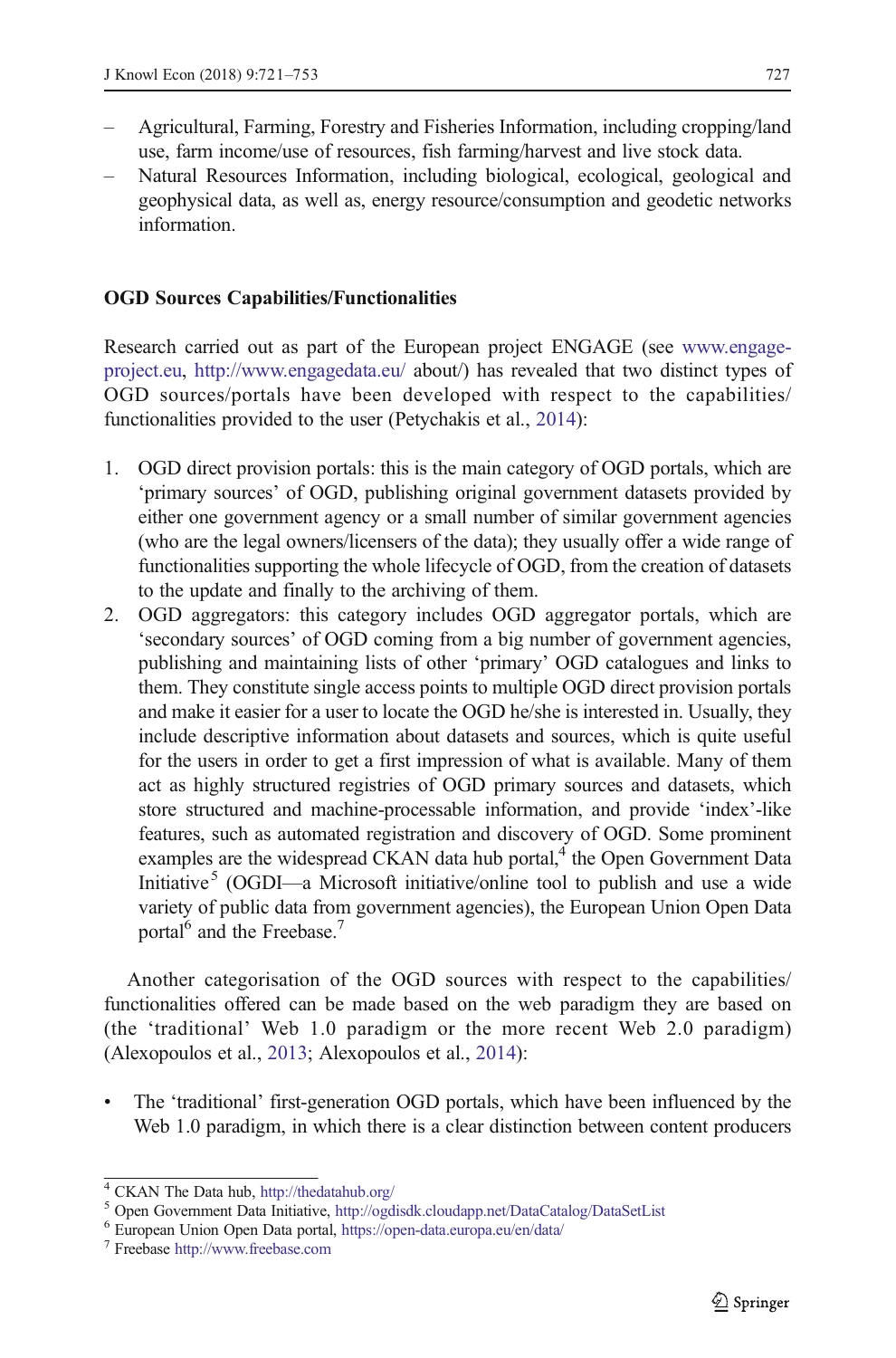- <span id="page-6-0"></span>– Agricultural, Farming, Forestry and Fisheries Information, including cropping/land use, farm income/use of resources, fish farming/harvest and live stock data.
- Natural Resources Information, including biological, ecological, geological and geophysical data, as well as, energy resource/consumption and geodetic networks information.

### OGD Sources Capabilities/Functionalities

Research carried out as part of the European project ENGAGE (see [www.engage](http://www.engage-project.eu/)[project.eu](http://www.engage-project.eu/), <http://www.engagedata.eu/> about/) has revealed that two distinct types of OGD sources/portals have been developed with respect to the capabilities/ functionalities provided to the user (Petychakis et al., [2014\)](#page-31-0):

- 1. OGD direct provision portals: this is the main category of OGD portals, which are 'primary sources' of OGD, publishing original government datasets provided by either one government agency or a small number of similar government agencies (who are the legal owners/licensers of the data); they usually offer a wide range of functionalities supporting the whole lifecycle of OGD, from the creation of datasets to the update and finally to the archiving of them.
- 2. OGD aggregators: this category includes OGD aggregator portals, which are 'secondary sources' of OGD coming from a big number of government agencies, publishing and maintaining lists of other 'primary' OGD catalogues and links to them. They constitute single access points to multiple OGD direct provision portals and make it easier for a user to locate the OGD he/she is interested in. Usually, they include descriptive information about datasets and sources, which is quite useful for the users in order to get a first impression of what is available. Many of them act as highly structured registries of OGD primary sources and datasets, which store structured and machine-processable information, and provide 'index'-like features, such as automated registration and discovery of OGD. Some prominent examples are the widespread CKAN data hub portal,<sup>4</sup> the Open Government Data Initiative<sup>5</sup> (OGDI—a Microsoft initiative/online tool to publish and use a wide variety of public data from government agencies), the European Union Open Data portal<sup>6</sup> and the Freebase.<sup>7</sup>

Another categorisation of the OGD sources with respect to the capabilities/ functionalities offered can be made based on the web paradigm they are based on (the 'traditional' Web 1.0 paradigm or the more recent Web 2.0 paradigm) (Alexopoulos et al., [2013;](#page-30-0) Alexopoulos et al., [2014](#page-30-0)):

& The 'traditional' first-generation OGD portals, which have been influenced by the Web 1.0 paradigm, in which there is a clear distinction between content producers

 $^4$  CKAN The Data hub, <http://thedatahub.org/><br> $^5$  Open Government Data Initiative, <http://ogdisdk.cloudapp.net/DataCatalog/DataSetList> $^6$  European Union Open Data portal, <https://open-data.europa.eu/en/data/><br> $^7$  Freeb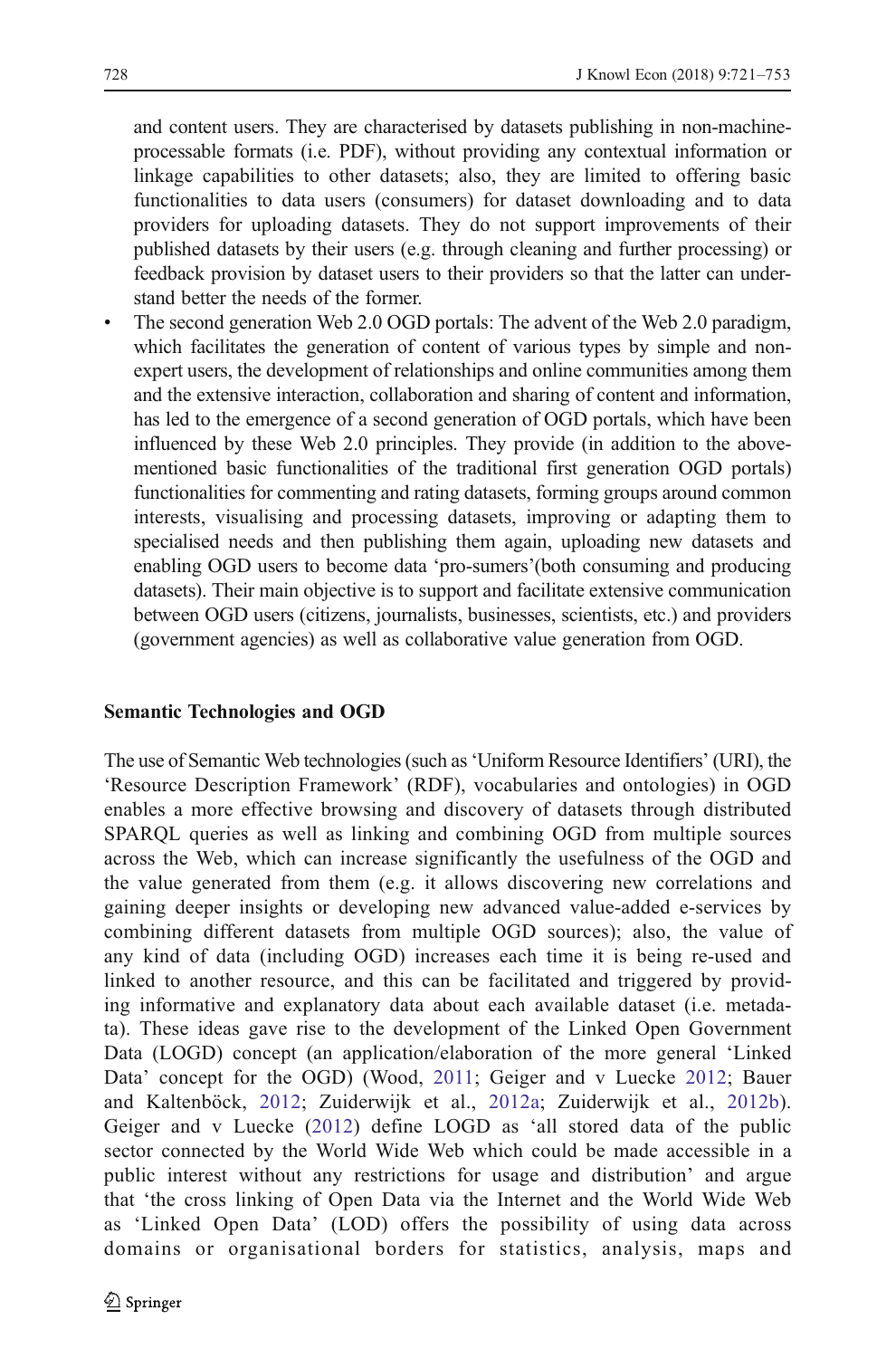<span id="page-7-0"></span>and content users. They are characterised by datasets publishing in non-machineprocessable formats (i.e. PDF), without providing any contextual information or linkage capabilities to other datasets; also, they are limited to offering basic functionalities to data users (consumers) for dataset downloading and to data providers for uploading datasets. They do not support improvements of their published datasets by their users (e.g. through cleaning and further processing) or feedback provision by dataset users to their providers so that the latter can understand better the needs of the former.

The second generation Web 2.0 OGD portals: The advent of the Web 2.0 paradigm, which facilitates the generation of content of various types by simple and nonexpert users, the development of relationships and online communities among them and the extensive interaction, collaboration and sharing of content and information, has led to the emergence of a second generation of OGD portals, which have been influenced by these Web 2.0 principles. They provide (in addition to the abovementioned basic functionalities of the traditional first generation OGD portals) functionalities for commenting and rating datasets, forming groups around common interests, visualising and processing datasets, improving or adapting them to specialised needs and then publishing them again, uploading new datasets and enabling OGD users to become data 'pro-sumers'(both consuming and producing datasets). Their main objective is to support and facilitate extensive communication between OGD users (citizens, journalists, businesses, scientists, etc.) and providers (government agencies) as well as collaborative value generation from OGD.

#### Semantic Technologies and OGD

The use of Semantic Web technologies (such as'Uniform Resource Identifiers' (URI), the 'Resource Description Framework' (RDF), vocabularies and ontologies) in OGD enables a more effective browsing and discovery of datasets through distributed SPARQL queries as well as linking and combining OGD from multiple sources across the Web, which can increase significantly the usefulness of the OGD and the value generated from them (e.g. it allows discovering new correlations and gaining deeper insights or developing new advanced value-added e-services by combining different datasets from multiple OGD sources); also, the value of any kind of data (including OGD) increases each time it is being re-used and linked to another resource, and this can be facilitated and triggered by providing informative and explanatory data about each available dataset (i.e. metadata). These ideas gave rise to the development of the Linked Open Government Data (LOGD) concept (an application/elaboration of the more general 'Linked Data' concept for the OGD) (Wood, [2011;](#page-31-0) Geiger and v Luecke [2012;](#page-30-0) Bauer and Kaltenböck, [2012;](#page-30-0) Zuiderwijk et al., [2012a;](#page-32-0) Zuiderwijk et al., [2012b\)](#page-32-0). Geiger and v Luecke ([2012](#page-30-0)) define LOGD as 'all stored data of the public sector connected by the World Wide Web which could be made accessible in a public interest without any restrictions for usage and distribution' and argue that 'the cross linking of Open Data via the Internet and the World Wide Web as 'Linked Open Data' (LOD) offers the possibility of using data across domains or organisational borders for statistics, analysis, maps and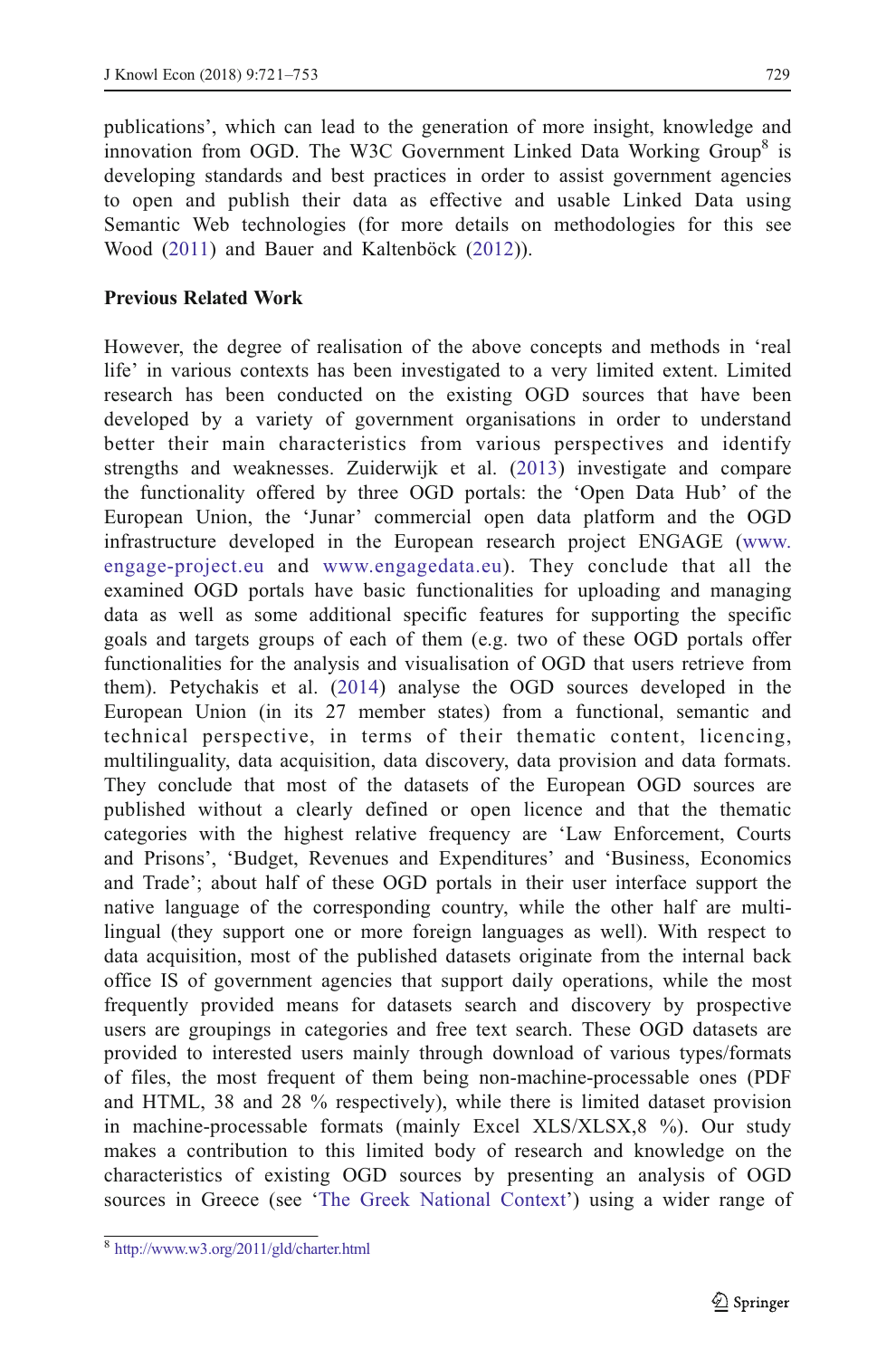<span id="page-8-0"></span>publications', which can lead to the generation of more insight, knowledge and innovation from OGD. The W3C Government Linked Data Working Group<sup>8</sup> is developing standards and best practices in order to assist government agencies to open and publish their data as effective and usable Linked Data using Semantic Web technologies (for more details on methodologies for this see Wood ([2011\)](#page-31-0) and Bauer and Kaltenböck ([2012](#page-30-0))).

### Previous Related Work

However, the degree of realisation of the above concepts and methods in 'real life' in various contexts has been investigated to a very limited extent. Limited research has been conducted on the existing OGD sources that have been developed by a variety of government organisations in order to understand better their main characteristics from various perspectives and identify strengths and weaknesses. Zuiderwijk et al. [\(2013\)](#page-32-0) investigate and compare the functionality offered by three OGD portals: the 'Open Data Hub' of the European Union, the 'Junar' commercial open data platform and the OGD infrastructure developed in the European research project ENGAGE [\(www.](http://www.engage-project.eu/) [engage-project.eu](http://www.engage-project.eu/) and [www.engagedata.eu\)](http://www.engagedata.eu/). They conclude that all the examined OGD portals have basic functionalities for uploading and managing data as well as some additional specific features for supporting the specific goals and targets groups of each of them (e.g. two of these OGD portals offer functionalities for the analysis and visualisation of OGD that users retrieve from them). Petychakis et al. ([2014](#page-31-0)) analyse the OGD sources developed in the European Union (in its 27 member states) from a functional, semantic and technical perspective, in terms of their thematic content, licencing, multilinguality, data acquisition, data discovery, data provision and data formats. They conclude that most of the datasets of the European OGD sources are published without a clearly defined or open licence and that the thematic categories with the highest relative frequency are 'Law Enforcement, Courts and Prisons', 'Budget, Revenues and Expenditures' and 'Business, Economics and Trade'; about half of these OGD portals in their user interface support the native language of the corresponding country, while the other half are multilingual (they support one or more foreign languages as well). With respect to data acquisition, most of the published datasets originate from the internal back office IS of government agencies that support daily operations, while the most frequently provided means for datasets search and discovery by prospective users are groupings in categories and free text search. These OGD datasets are provided to interested users mainly through download of various types/formats of files, the most frequent of them being non-machine-processable ones (PDF and HTML, 38 and 28 % respectively), while there is limited dataset provision in machine-processable formats (mainly Excel XLS/XLSX,8 %). Our study makes a contribution to this limited body of research and knowledge on the characteristics of existing OGD sources by presenting an analysis of OGD sources in Greece (see '[The Greek National Context](#page-9-0)') using a wider range of

<sup>8</sup> <http://www.w3.org/2011/gld/charter.html>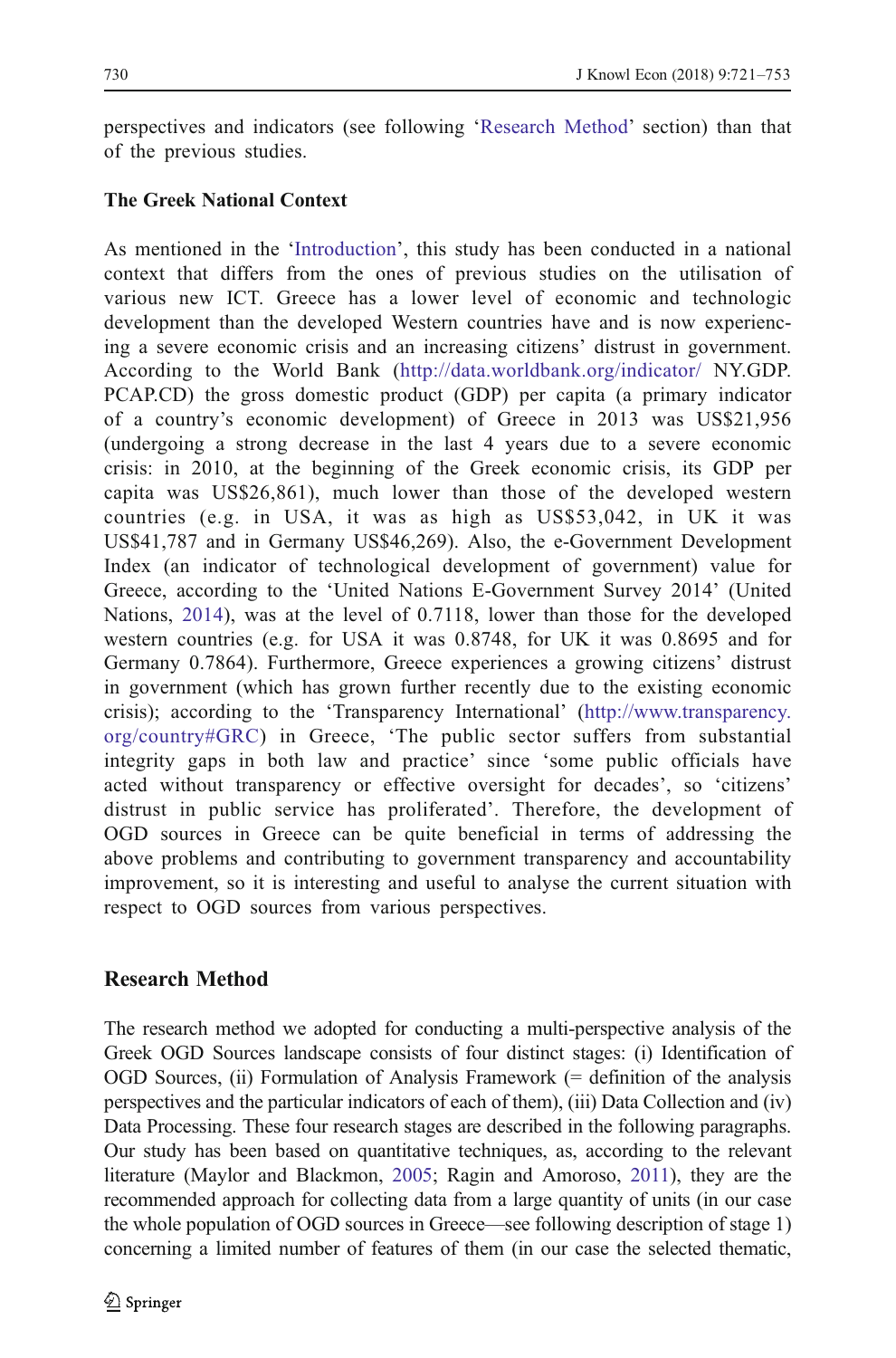<span id="page-9-0"></span>perspectives and indicators (see following 'Research Method' section) than that of the previous studies.

### The Greek National Context

As mentioned in the '[Introduction](#page-1-0)', this study has been conducted in a national context that differs from the ones of previous studies on the utilisation of various new ICT. Greece has a lower level of economic and technologic development than the developed Western countries have and is now experiencing a severe economic crisis and an increasing citizens' distrust in government. According to the World Bank [\(http://data.worldbank.org/indicator/](http://data.worldbank.org/indicator/) NY.GDP. PCAP.CD) the gross domestic product (GDP) per capita (a primary indicator of a country's economic development) of Greece in 2013 was US\$21,956 (undergoing a strong decrease in the last 4 years due to a severe economic crisis: in 2010, at the beginning of the Greek economic crisis, its GDP per capita was US\$26,861), much lower than those of the developed western countries (e.g. in USA, it was as high as US\$53,042, in UK it was US\$41,787 and in Germany US\$46,269). Also, the e-Government Development Index (an indicator of technological development of government) value for Greece, according to the 'United Nations E-Government Survey 2014' (United Nations, [2014\)](#page-31-0), was at the level of 0.7118, lower than those for the developed western countries (e.g. for USA it was 0.8748, for UK it was 0.8695 and for Germany 0.7864). Furthermore, Greece experiences a growing citizens' distrust in government (which has grown further recently due to the existing economic crisis); according to the 'Transparency International' ([http://www.transparency.](http://www.transparency.org/country%23GRC) [org/country#GRC](http://www.transparency.org/country%23GRC)) in Greece, 'The public sector suffers from substantial integrity gaps in both law and practice' since 'some public officials have acted without transparency or effective oversight for decades', so 'citizens' distrust in public service has proliferated'. Therefore, the development of OGD sources in Greece can be quite beneficial in terms of addressing the above problems and contributing to government transparency and accountability improvement, so it is interesting and useful to analyse the current situation with respect to OGD sources from various perspectives.

### Research Method

The research method we adopted for conducting a multi-perspective analysis of the Greek OGD Sources landscape consists of four distinct stages: (i) Identification of OGD Sources, (ii) Formulation of Analysis Framework (= definition of the analysis perspectives and the particular indicators of each of them), (iii) Data Collection and (iv) Data Processing. These four research stages are described in the following paragraphs. Our study has been based on quantitative techniques, as, according to the relevant literature (Maylor and Blackmon, [2005](#page-31-0); Ragin and Amoroso, [2011\)](#page-31-0), they are the recommended approach for collecting data from a large quantity of units (in our case the whole population of OGD sources in Greece—see following description of stage 1) concerning a limited number of features of them (in our case the selected thematic,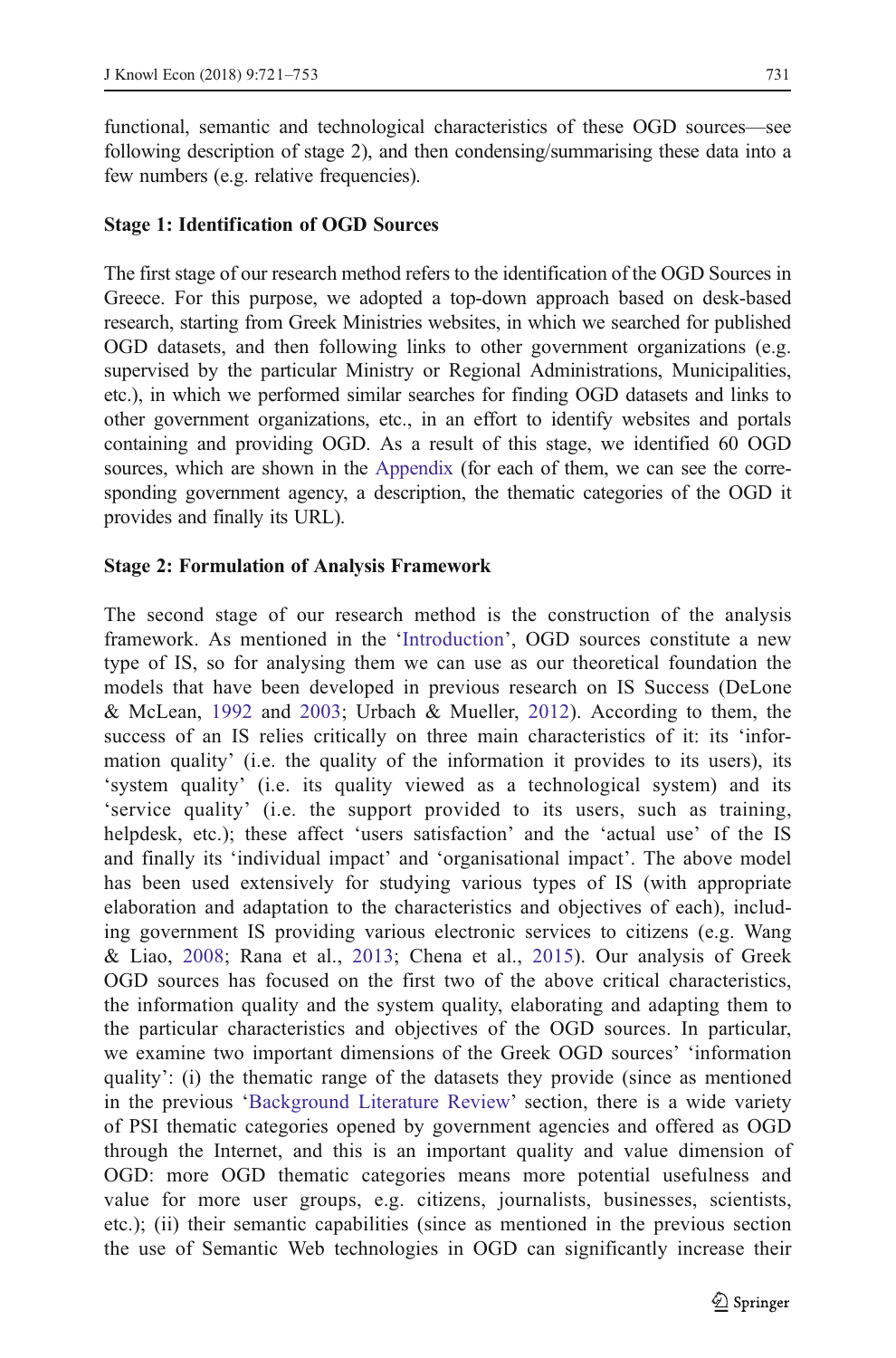functional, semantic and technological characteristics of these OGD sources—see following description of stage 2), and then condensing/summarising these data into a few numbers (e.g. relative frequencies).

#### Stage 1: Identification of OGD Sources

The first stage of our research method refers to the identification of the OGD Sources in Greece. For this purpose, we adopted a top-down approach based on desk-based research, starting from Greek Ministries websites, in which we searched for published OGD datasets, and then following links to other government organizations (e.g. supervised by the particular Ministry or Regional Administrations, Municipalities, etc.), in which we performed similar searches for finding OGD datasets and links to other government organizations, etc., in an effort to identify websites and portals containing and providing OGD. As a result of this stage, we identified 60 OGD sources, which are shown in the [Appendix](#page-25-0) (for each of them, we can see the corresponding government agency, a description, the thematic categories of the OGD it provides and finally its URL).

#### Stage 2: Formulation of Analysis Framework

The second stage of our research method is the construction of the analysis framework. As mentioned in the '[Introduction](#page-1-0)', OGD sources constitute a new type of IS, so for analysing them we can use as our theoretical foundation the models that have been developed in previous research on IS Success (DeLone & McLean, [1992](#page-30-0) and [2003;](#page-30-0) Urbach & Mueller, [2012\)](#page-31-0). According to them, the success of an IS relies critically on three main characteristics of it: its 'information quality' (i.e. the quality of the information it provides to its users), its 'system quality' (i.e. its quality viewed as a technological system) and its 'service quality' (i.e. the support provided to its users, such as training, helpdesk, etc.); these affect 'users satisfaction' and the 'actual use' of the IS and finally its 'individual impact' and 'organisational impact'. The above model has been used extensively for studying various types of IS (with appropriate elaboration and adaptation to the characteristics and objectives of each), including government IS providing various electronic services to citizens (e.g. Wang & Liao, [2008](#page-31-0); Rana et al., [2013](#page-31-0); Chena et al., [2015\)](#page-30-0). Our analysis of Greek OGD sources has focused on the first two of the above critical characteristics, the information quality and the system quality, elaborating and adapting them to the particular characteristics and objectives of the OGD sources. In particular, we examine two important dimensions of the Greek OGD sources' 'information quality': (i) the thematic range of the datasets they provide (since as mentioned in the previous '[Background Literature Review](#page-3-0)' section, there is a wide variety of PSI thematic categories opened by government agencies and offered as OGD through the Internet, and this is an important quality and value dimension of OGD: more OGD thematic categories means more potential usefulness and value for more user groups, e.g. citizens, journalists, businesses, scientists, etc.); (ii) their semantic capabilities (since as mentioned in the previous section the use of Semantic Web technologies in OGD can significantly increase their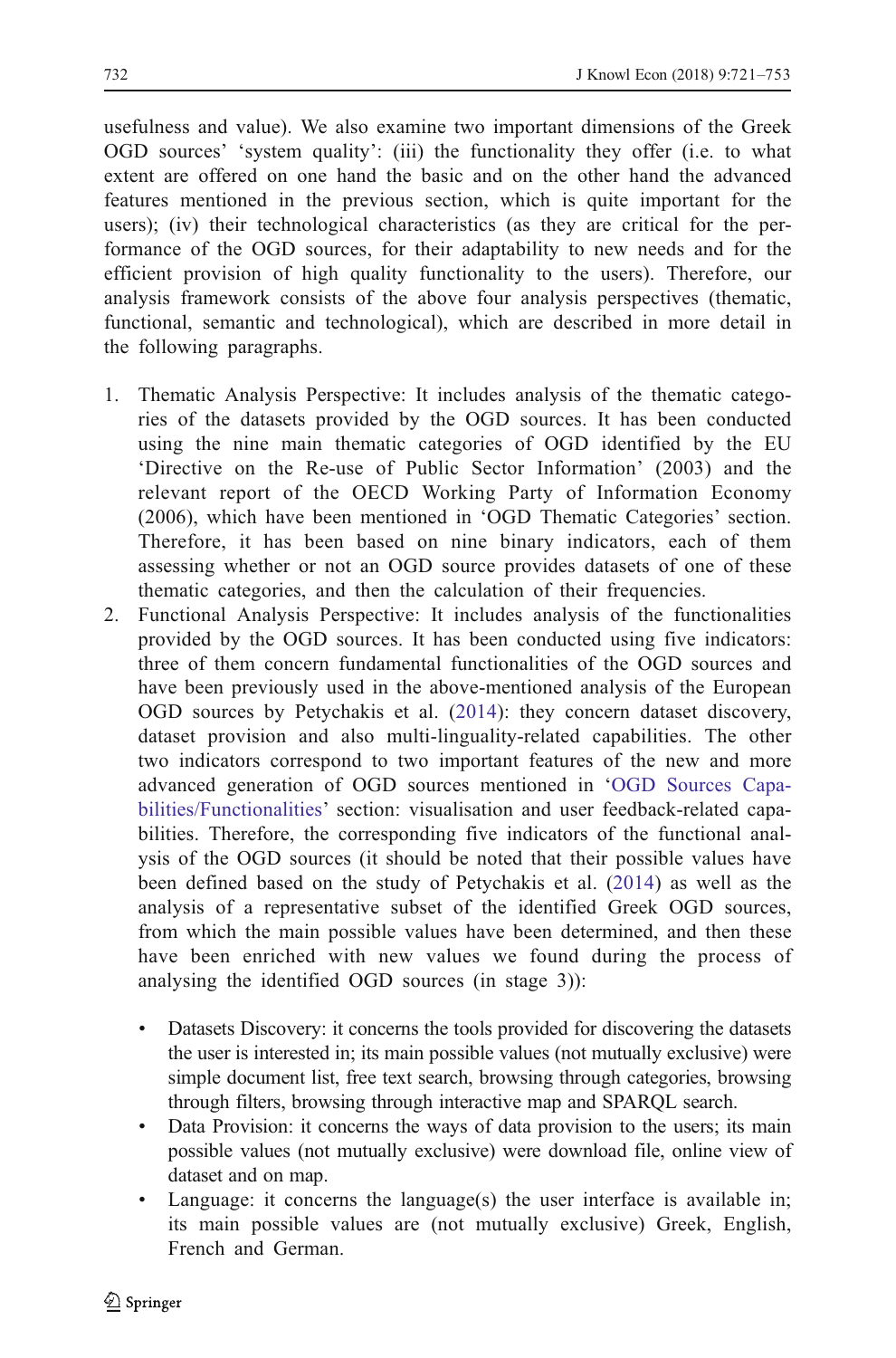usefulness and value). We also examine two important dimensions of the Greek OGD sources' 'system quality': (iii) the functionality they offer (i.e. to what extent are offered on one hand the basic and on the other hand the advanced features mentioned in the previous section, which is quite important for the users); (iv) their technological characteristics (as they are critical for the performance of the OGD sources, for their adaptability to new needs and for the efficient provision of high quality functionality to the users). Therefore, our analysis framework consists of the above four analysis perspectives (thematic, functional, semantic and technological), which are described in more detail in the following paragraphs.

- 1. Thematic Analysis Perspective: It includes analysis of the thematic categories of the datasets provided by the OGD sources. It has been conducted using the nine main thematic categories of OGD identified by the EU 'Directive on the Re-use of Public Sector Information' (2003) and the relevant report of the OECD Working Party of Information Economy (2006), which have been mentioned in 'OGD Thematic Categories' section. Therefore, it has been based on nine binary indicators, each of them assessing whether or not an OGD source provides datasets of one of these thematic categories, and then the calculation of their frequencies.
- 2. Functional Analysis Perspective: It includes analysis of the functionalities provided by the OGD sources. It has been conducted using five indicators: three of them concern fundamental functionalities of the OGD sources and have been previously used in the above-mentioned analysis of the European OGD sources by Petychakis et al. ([2014](#page-31-0)): they concern dataset discovery, dataset provision and also multi-linguality-related capabilities. The other two indicators correspond to two important features of the new and more advanced generation of OGD sources mentioned in '[OGD Sources Capa](#page-6-0)[bilities/Functionalities](#page-6-0)' section: visualisation and user feedback-related capabilities. Therefore, the corresponding five indicators of the functional analysis of the OGD sources (it should be noted that their possible values have been defined based on the study of Petychakis et al. ([2014](#page-31-0)) as well as the analysis of a representative subset of the identified Greek OGD sources, from which the main possible values have been determined, and then these have been enriched with new values we found during the process of analysing the identified OGD sources (in stage 3)):
	- Datasets Discovery: it concerns the tools provided for discovering the datasets the user is interested in; its main possible values (not mutually exclusive) were simple document list, free text search, browsing through categories, browsing through filters, browsing through interactive map and SPARQL search.
	- Data Provision: it concerns the ways of data provision to the users; its main possible values (not mutually exclusive) were download file, online view of dataset and on map.
	- Language: it concerns the language(s) the user interface is available in; its main possible values are (not mutually exclusive) Greek, English, French and German.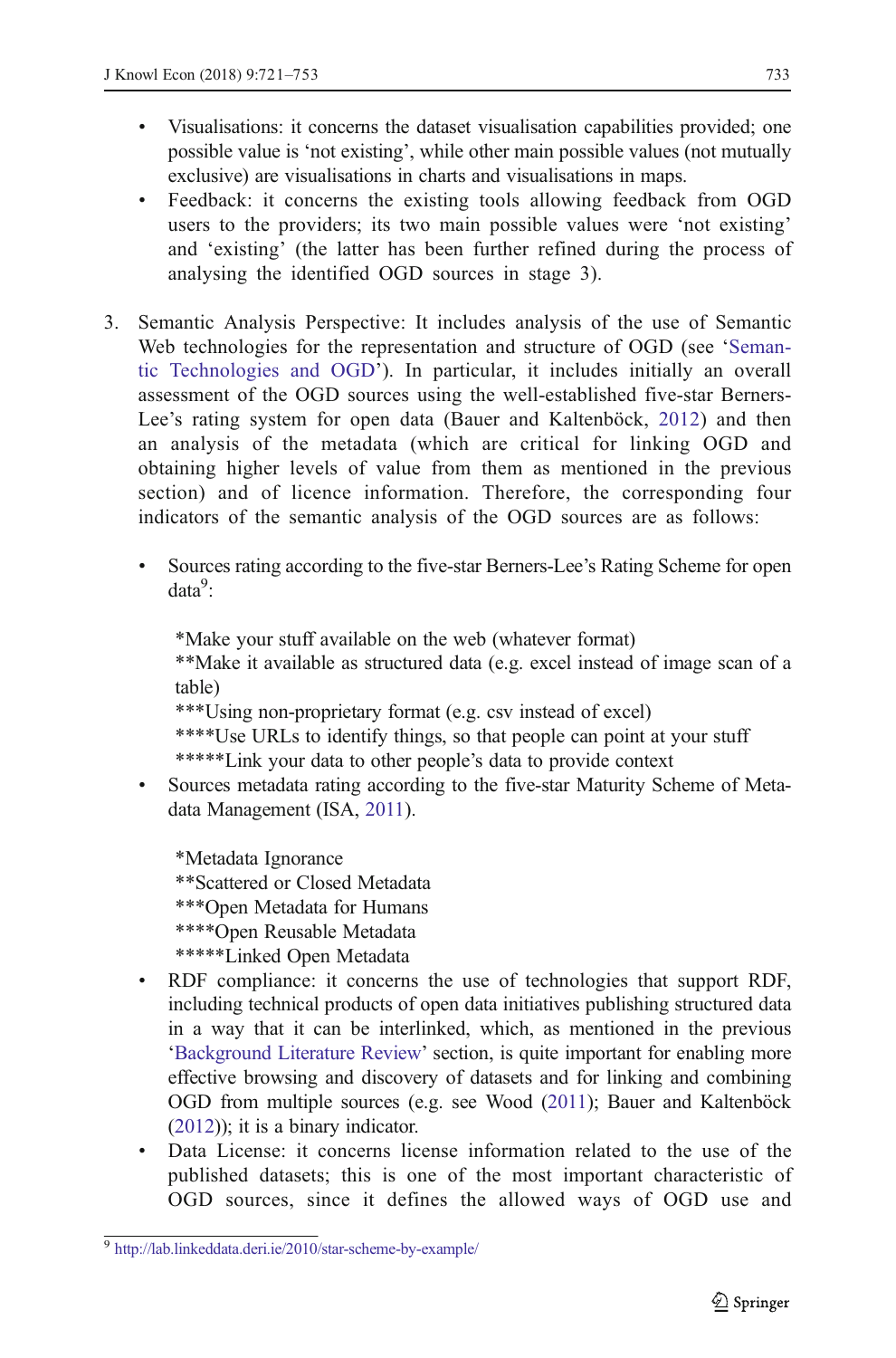- Visualisations: it concerns the dataset visualisation capabilities provided; one possible value is 'not existing', while other main possible values (not mutually exclusive) are visualisations in charts and visualisations in maps.
- Feedback: it concerns the existing tools allowing feedback from OGD users to the providers; its two main possible values were 'not existing' and 'existing' (the latter has been further refined during the process of analysing the identified OGD sources in stage 3).
- 3. Semantic Analysis Perspective: It includes analysis of the use of Semantic Web technologies for the representation and structure of OGD (see '[Seman](#page-7-0)[tic Technologies and OGD](#page-7-0)'). In particular, it includes initially an overall assessment of the OGD sources using the well-established five-star Berners-Lee's rating system for open data (Bauer and Kaltenböck, [2012\)](#page-30-0) and then an analysis of the metadata (which are critical for linking OGD and obtaining higher levels of value from them as mentioned in the previous section) and of licence information. Therefore, the corresponding four indicators of the semantic analysis of the OGD sources are as follows:
	- Sources rating according to the five-star Berners-Lee's Rating Scheme for open  $data<sup>9</sup>$ :

\*Make your stuff available on the web (whatever format) \*\*Make it available as structured data (e.g. excel instead of image scan of a table) \*\*\*Using non-proprietary format (e.g. csv instead of excel)

\*\*\*\*Use URLs to identify things, so that people can point at your stuff

- \*\*\*\*\*Link your data to other people's data to provide context
- Sources metadata rating according to the five-star Maturity Scheme of Metadata Management (ISA, [2011\)](#page-31-0).

\*Metadata Ignorance \*\*Scattered or Closed Metadata \*\*\*Open Metadata for Humans \*\*\*\*Open Reusable Metadata

- \*\*\*\*\*Linked Open Metadata
- & RDF compliance: it concerns the use of technologies that support RDF, including technical products of open data initiatives publishing structured data in a way that it can be interlinked, which, as mentioned in the previous '[Background Literature Review](#page-3-0)' section, is quite important for enabling more effective browsing and discovery of datasets and for linking and combining OGD from multiple sources (e.g. see Wood ([2011](#page-31-0)); Bauer and Kaltenböck ([2012](#page-30-0))); it is a binary indicator.
- & Data License: it concerns license information related to the use of the published datasets; this is one of the most important characteristic of OGD sources, since it defines the allowed ways of OGD use and

<sup>9</sup> <http://lab.linkeddata.deri.ie/2010/star-scheme-by-example/>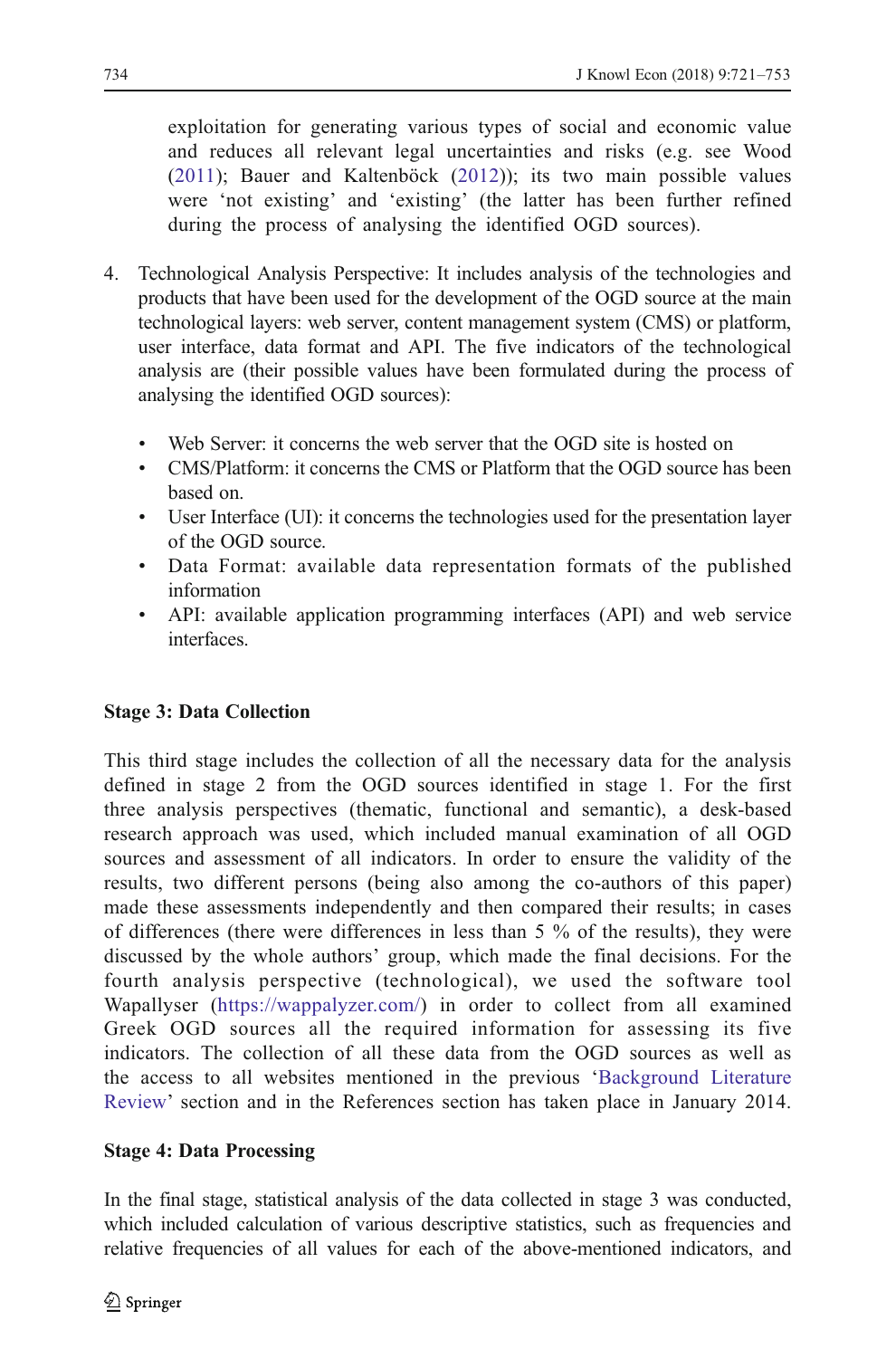exploitation for generating various types of social and economic value and reduces all relevant legal uncertainties and risks (e.g. see Wood ([2011\)](#page-31-0); Bauer and Kaltenböck ([2012](#page-30-0))); its two main possible values were 'not existing' and 'existing' (the latter has been further refined during the process of analysing the identified OGD sources).

- 4. Technological Analysis Perspective: It includes analysis of the technologies and products that have been used for the development of the OGD source at the main technological layers: web server, content management system (CMS) or platform, user interface, data format and API. The five indicators of the technological analysis are (their possible values have been formulated during the process of analysing the identified OGD sources):
	- Web Server: it concerns the web server that the OGD site is hosted on
	- & CMS/Platform: it concerns the CMS or Platform that the OGD source has been based on.
	- User Interface (UI): it concerns the technologies used for the presentation layer of the OGD source.
	- Data Format: available data representation formats of the published information
	- & API: available application programming interfaces (API) and web service interfaces.

### Stage 3: Data Collection

This third stage includes the collection of all the necessary data for the analysis defined in stage 2 from the OGD sources identified in stage 1. For the first three analysis perspectives (thematic, functional and semantic), a desk-based research approach was used, which included manual examination of all OGD sources and assessment of all indicators. In order to ensure the validity of the results, two different persons (being also among the co-authors of this paper) made these assessments independently and then compared their results; in cases of differences (there were differences in less than 5 % of the results), they were discussed by the whole authors' group, which made the final decisions. For the fourth analysis perspective (technological), we used the software tool Wapallyser (<https://wappalyzer.com/>) in order to collect from all examined Greek OGD sources all the required information for assessing its five indicators. The collection of all these data from the OGD sources as well as the access to all websites mentioned in the previous '[Background Literature](#page-3-0) [Review](#page-3-0)' section and in the References section has taken place in January 2014.

### Stage 4: Data Processing

In the final stage, statistical analysis of the data collected in stage 3 was conducted, which included calculation of various descriptive statistics, such as frequencies and relative frequencies of all values for each of the above-mentioned indicators, and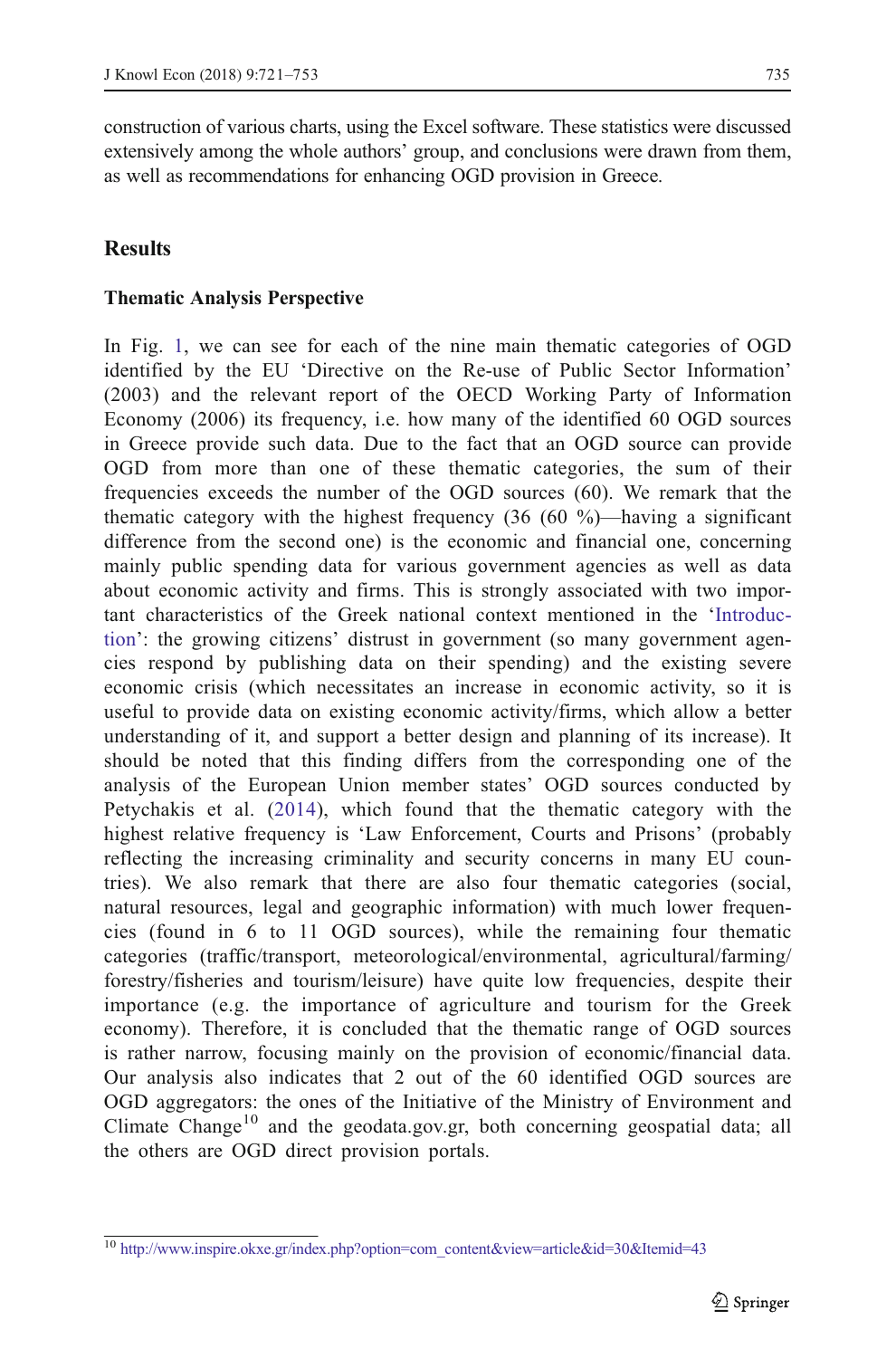<span id="page-14-0"></span>construction of various charts, using the Excel software. These statistics were discussed extensively among the whole authors' group, and conclusions were drawn from them, as well as recommendations for enhancing OGD provision in Greece.

## Results

#### Thematic Analysis Perspective

In Fig. [1](#page-15-0), we can see for each of the nine main thematic categories of OGD identified by the EU 'Directive on the Re-use of Public Sector Information' (2003) and the relevant report of the OECD Working Party of Information Economy (2006) its frequency, i.e. how many of the identified 60 OGD sources in Greece provide such data. Due to the fact that an OGD source can provide OGD from more than one of these thematic categories, the sum of their frequencies exceeds the number of the OGD sources (60). We remark that the thematic category with the highest frequency  $(36 (60 \%)$ —having a significant difference from the second one) is the economic and financial one, concerning mainly public spending data for various government agencies as well as data about economic activity and firms. This is strongly associated with two important characteristics of the Greek national context mentioned in the '[Introduc](#page-1-0)[tion](#page-1-0)': the growing citizens' distrust in government (so many government agencies respond by publishing data on their spending) and the existing severe economic crisis (which necessitates an increase in economic activity, so it is useful to provide data on existing economic activity/firms, which allow a better understanding of it, and support a better design and planning of its increase). It should be noted that this finding differs from the corresponding one of the analysis of the European Union member states' OGD sources conducted by Petychakis et al. ([2014](#page-31-0)), which found that the thematic category with the highest relative frequency is 'Law Enforcement, Courts and Prisons' (probably reflecting the increasing criminality and security concerns in many EU countries). We also remark that there are also four thematic categories (social, natural resources, legal and geographic information) with much lower frequencies (found in 6 to 11 OGD sources), while the remaining four thematic categories (traffic/transport, meteorological/environmental, agricultural/farming/ forestry/fisheries and tourism/leisure) have quite low frequencies, despite their importance (e.g. the importance of agriculture and tourism for the Greek economy). Therefore, it is concluded that the thematic range of OGD sources is rather narrow, focusing mainly on the provision of economic/financial data. Our analysis also indicates that 2 out of the 60 identified OGD sources are OGD aggregators: the ones of the Initiative of the Ministry of Environment and Climate Change<sup>10</sup> and the geodata.gov.gr, both concerning geospatial data; all the others are OGD direct provision portals.

<sup>10</sup> [http://www.inspire.okxe.gr/index.php?option=com\\_content&view=article&id=30&Itemid=43](http://www.inspire.okxe.gr/index.php?option=com_content&view=article&id=30&Itemid=43)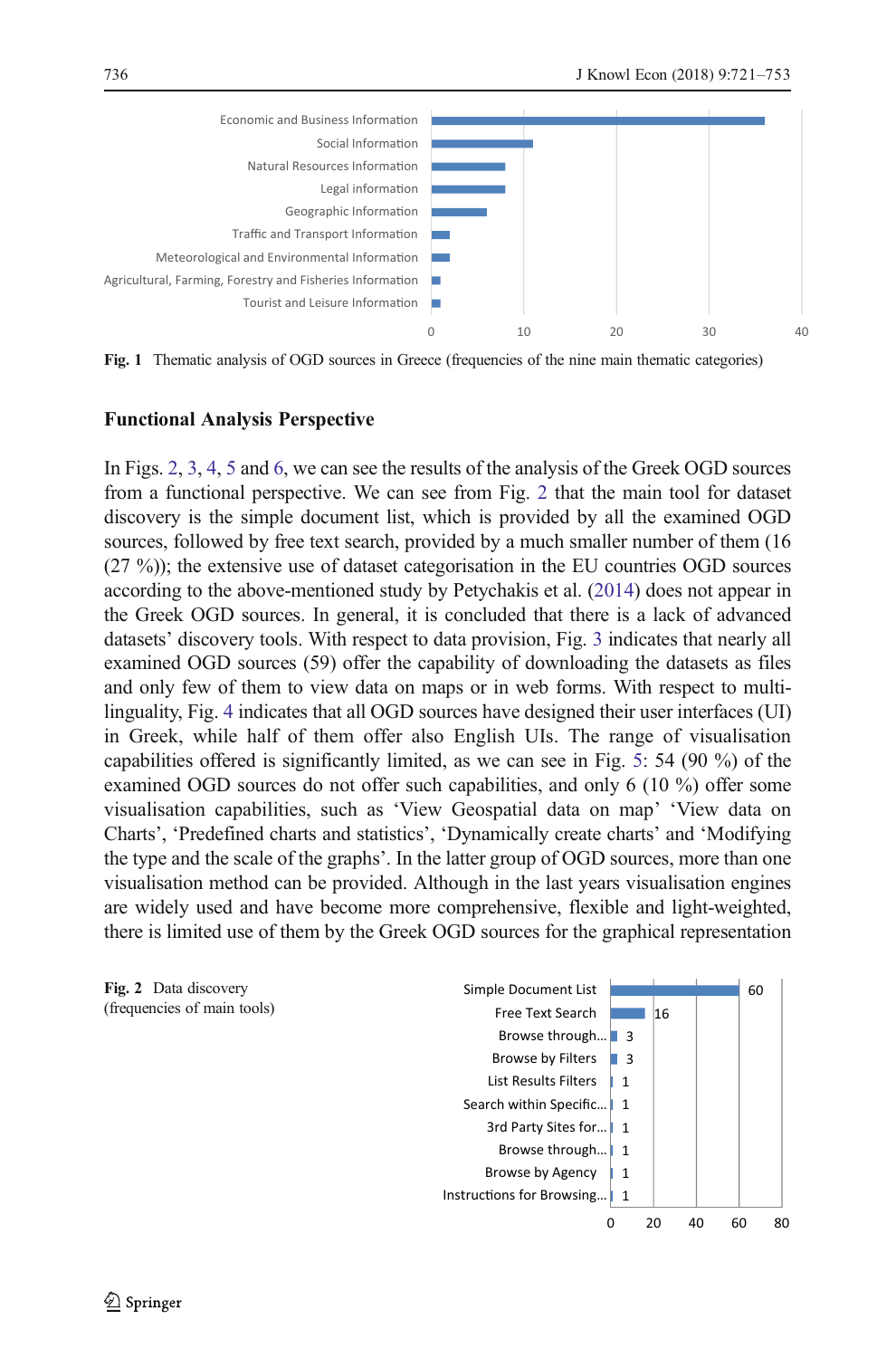<span id="page-15-0"></span>

Fig. 1 Thematic analysis of OGD sources in Greece (frequencies of the nine main thematic categories)

#### Functional Analysis Perspective

In Figs. 2, [3,](#page-16-0) [4](#page-16-0), [5](#page-17-0) and [6](#page-17-0), we can see the results of the analysis of the Greek OGD sources from a functional perspective. We can see from Fig. 2 that the main tool for dataset discovery is the simple document list, which is provided by all the examined OGD sources, followed by free text search, provided by a much smaller number of them (16 (27 %)); the extensive use of dataset categorisation in the EU countries OGD sources according to the above-mentioned study by Petychakis et al. ([2014](#page-31-0)) does not appear in the Greek OGD sources. In general, it is concluded that there is a lack of advanced datasets' discovery tools. With respect to data provision, Fig. [3](#page-16-0) indicates that nearly all examined OGD sources (59) offer the capability of downloading the datasets as files and only few of them to view data on maps or in web forms. With respect to multilinguality, Fig. [4](#page-16-0) indicates that all OGD sources have designed their user interfaces (UI) in Greek, while half of them offer also English UIs. The range of visualisation capabilities offered is significantly limited, as we can see in Fig. [5](#page-17-0): 54 (90 %) of the examined OGD sources do not offer such capabilities, and only 6 (10 %) offer some visualisation capabilities, such as 'View Geospatial data on map' 'View data on Charts', 'Predefined charts and statistics', 'Dynamically create charts' and 'Modifying the type and the scale of the graphs'. In the latter group of OGD sources, more than one visualisation method can be provided. Although in the last years visualisation engines are widely used and have become more comprehensive, flexible and light-weighted, there is limited use of them by the Greek OGD sources for the graphical representation

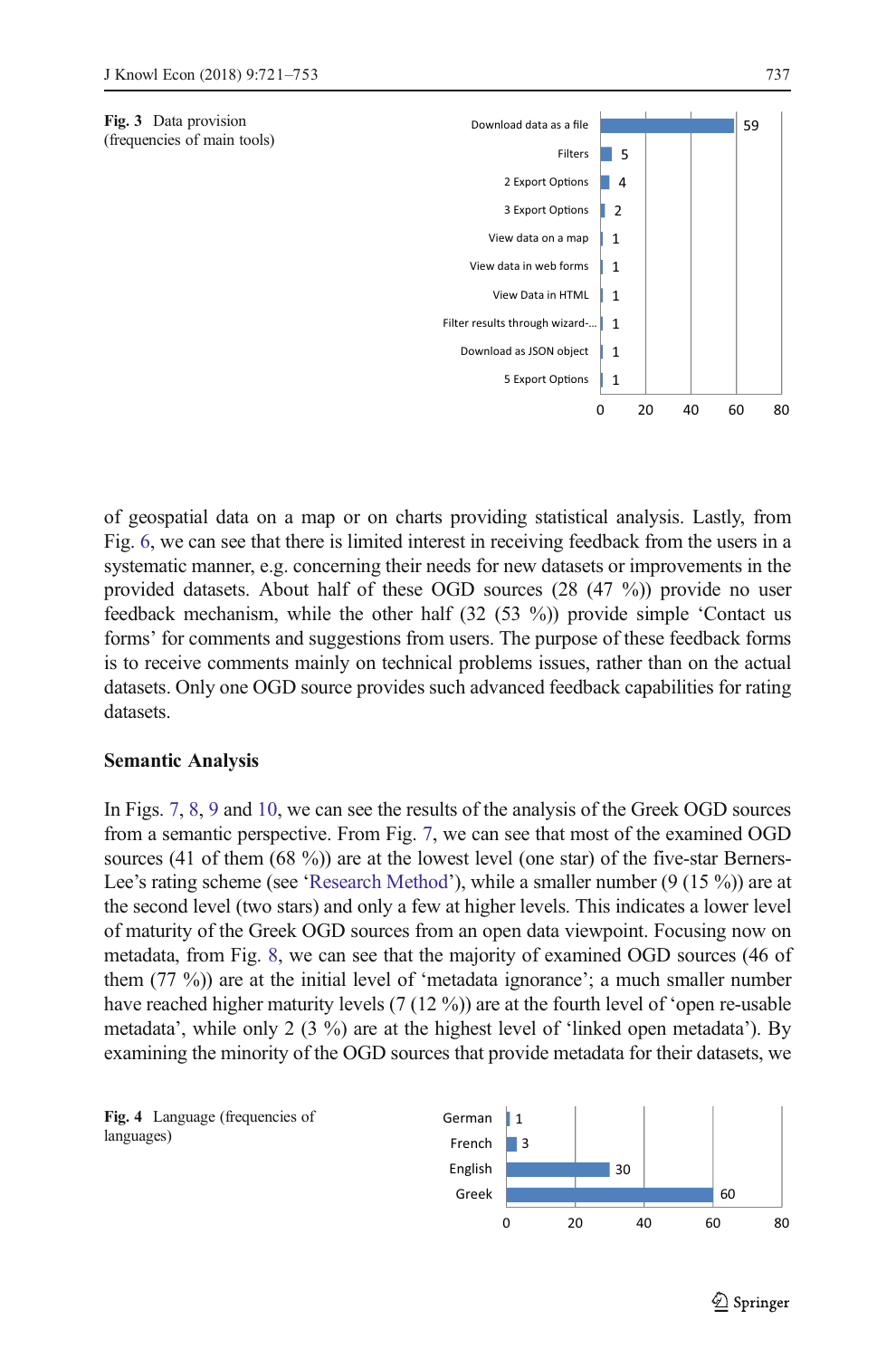(frequencies of main tools)

<span id="page-16-0"></span>

of geospatial data on a map or on charts providing statistical analysis. Lastly, from Fig. [6,](#page-17-0) we can see that there is limited interest in receiving feedback from the users in a systematic manner, e.g. concerning their needs for new datasets or improvements in the provided datasets. About half of these OGD sources (28 (47 %)) provide no user feedback mechanism, while the other half (32 (53 %)) provide simple 'Contact us forms' for comments and suggestions from users. The purpose of these feedback forms is to receive comments mainly on technical problems issues, rather than on the actual datasets. Only one OGD source provides such advanced feedback capabilities for rating datasets.

#### Semantic Analysis

In Figs. [7,](#page-18-0) [8,](#page-18-0) [9](#page-20-0) and [10](#page-20-0), we can see the results of the analysis of the Greek OGD sources from a semantic perspective. From Fig. [7](#page-18-0), we can see that most of the examined OGD sources (41 of them (68 %)) are at the lowest level (one star) of the five-star Berners-Lee's rating scheme (see '[Research Method](#page-9-0)'), while a smaller number (9 (15 %)) are at the second level (two stars) and only a few at higher levels. This indicates a lower level of maturity of the Greek OGD sources from an open data viewpoint. Focusing now on metadata, from Fig. [8](#page-18-0), we can see that the majority of examined OGD sources (46 of them (77 %)) are at the initial level of 'metadata ignorance'; a much smaller number have reached higher maturity levels (7 (12 %)) are at the fourth level of 'open re-usable metadata', while only 2 (3 %) are at the highest level of 'linked open metadata'). By examining the minority of the OGD sources that provide metadata for their datasets, we

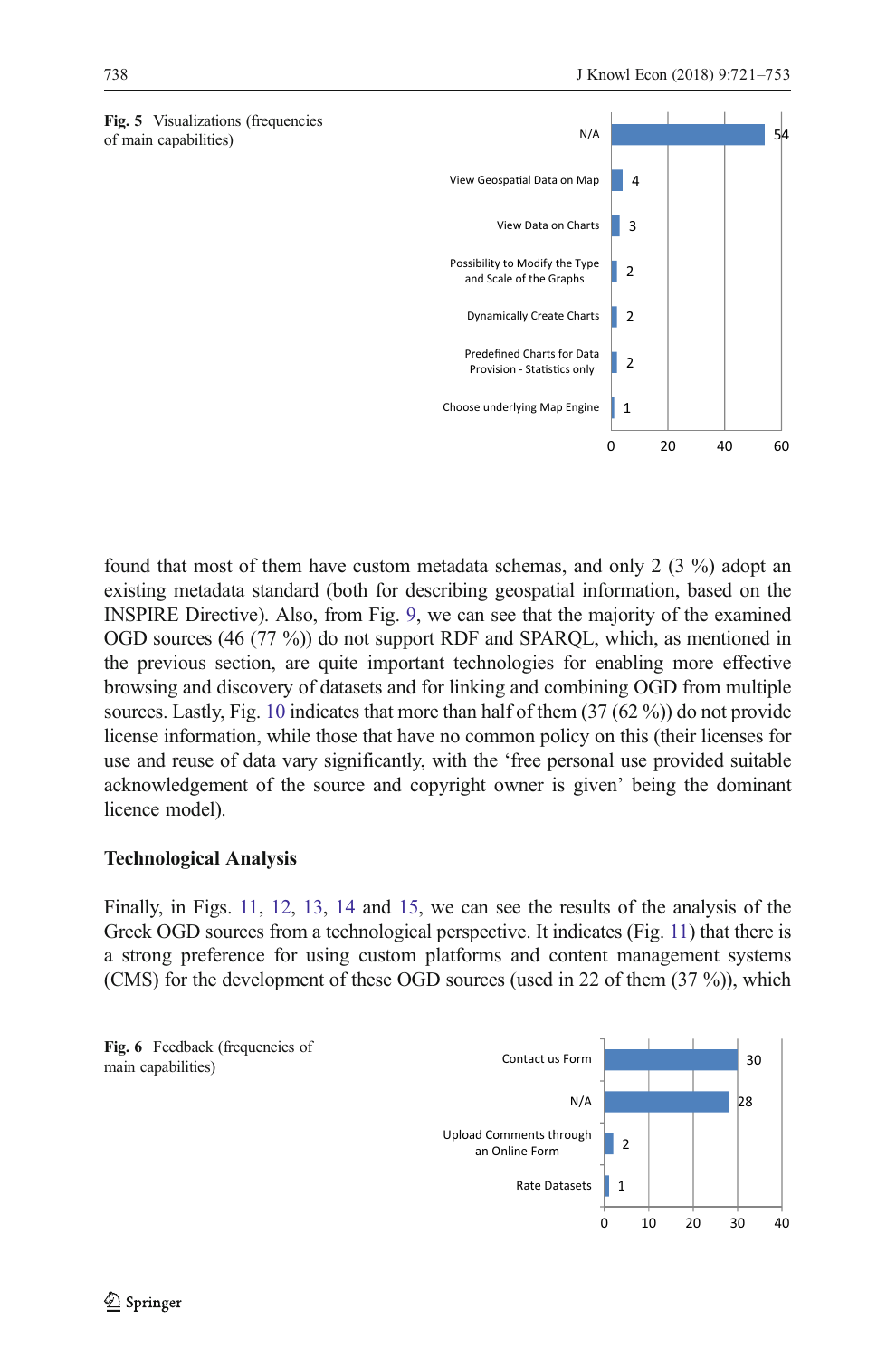<span id="page-17-0"></span>

found that most of them have custom metadata schemas, and only 2 (3 %) adopt an existing metadata standard (both for describing geospatial information, based on the INSPIRE Directive). Also, from Fig. [9](#page-20-0), we can see that the majority of the examined OGD sources (46 (77 %)) do not support RDF and SPARQL, which, as mentioned in the previous section, are quite important technologies for enabling more effective browsing and discovery of datasets and for linking and combining OGD from multiple sources. Lastly, Fig. [10](#page-20-0) indicates that more than half of them (37 (62 %)) do not provide license information, while those that have no common policy on this (their licenses for use and reuse of data vary significantly, with the 'free personal use provided suitable acknowledgement of the source and copyright owner is given' being the dominant licence model).

### Technological Analysis

Finally, in Figs. [11,](#page-21-0) [12,](#page-21-0) [13,](#page-22-0) [14](#page-22-0) and [15](#page-23-0), we can see the results of the analysis of the Greek OGD sources from a technological perspective. It indicates (Fig. [11\)](#page-21-0) that there is a strong preference for using custom platforms and content management systems (CMS) for the development of these OGD sources (used in 22 of them (37 %)), which

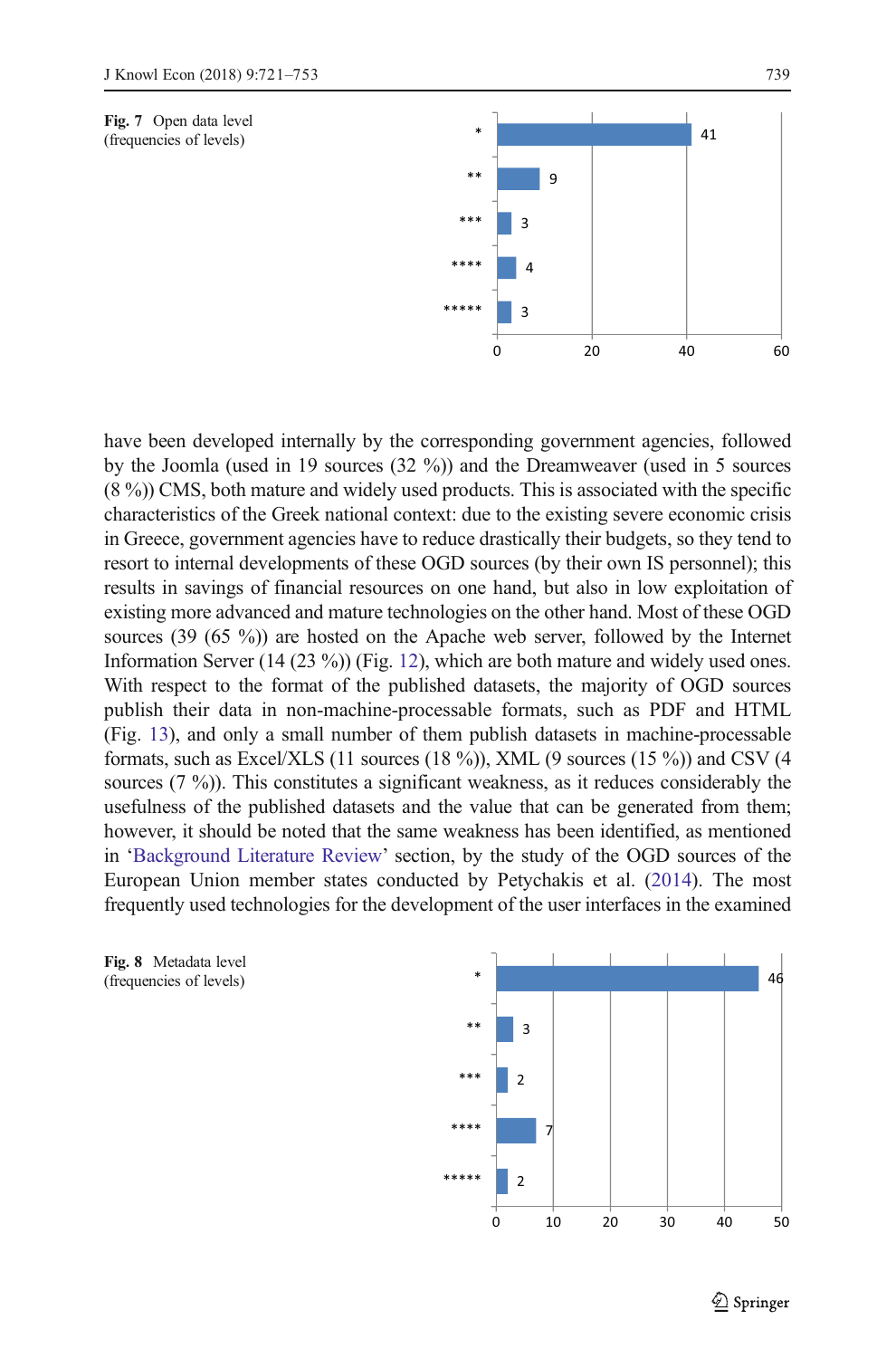<span id="page-18-0"></span>Fig. 7 Open data level (frequencies of levels)



have been developed internally by the corresponding government agencies, followed by the Joomla (used in 19 sources (32 %)) and the Dreamweaver (used in 5 sources (8 %)) CMS, both mature and widely used products. This is associated with the specific characteristics of the Greek national context: due to the existing severe economic crisis in Greece, government agencies have to reduce drastically their budgets, so they tend to resort to internal developments of these OGD sources (by their own IS personnel); this results in savings of financial resources on one hand, but also in low exploitation of existing more advanced and mature technologies on the other hand. Most of these OGD sources (39 (65 %)) are hosted on the Apache web server, followed by the Internet Information Server (14 (23 %)) (Fig. [12](#page-21-0)), which are both mature and widely used ones. With respect to the format of the published datasets, the majority of OGD sources publish their data in non-machine-processable formats, such as PDF and HTML (Fig. [13\)](#page-22-0), and only a small number of them publish datasets in machine-processable formats, such as Excel/XLS (11 sources (18 %)), XML (9 sources (15 %)) and CSV (4 sources (7 %)). This constitutes a significant weakness, as it reduces considerably the usefulness of the published datasets and the value that can be generated from them; however, it should be noted that the same weakness has been identified, as mentioned in '[Background Literature Review](#page-3-0)' section, by the study of the OGD sources of the European Union member states conducted by Petychakis et al. ([2014](#page-31-0)). The most frequently used technologies for the development of the user interfaces in the examined



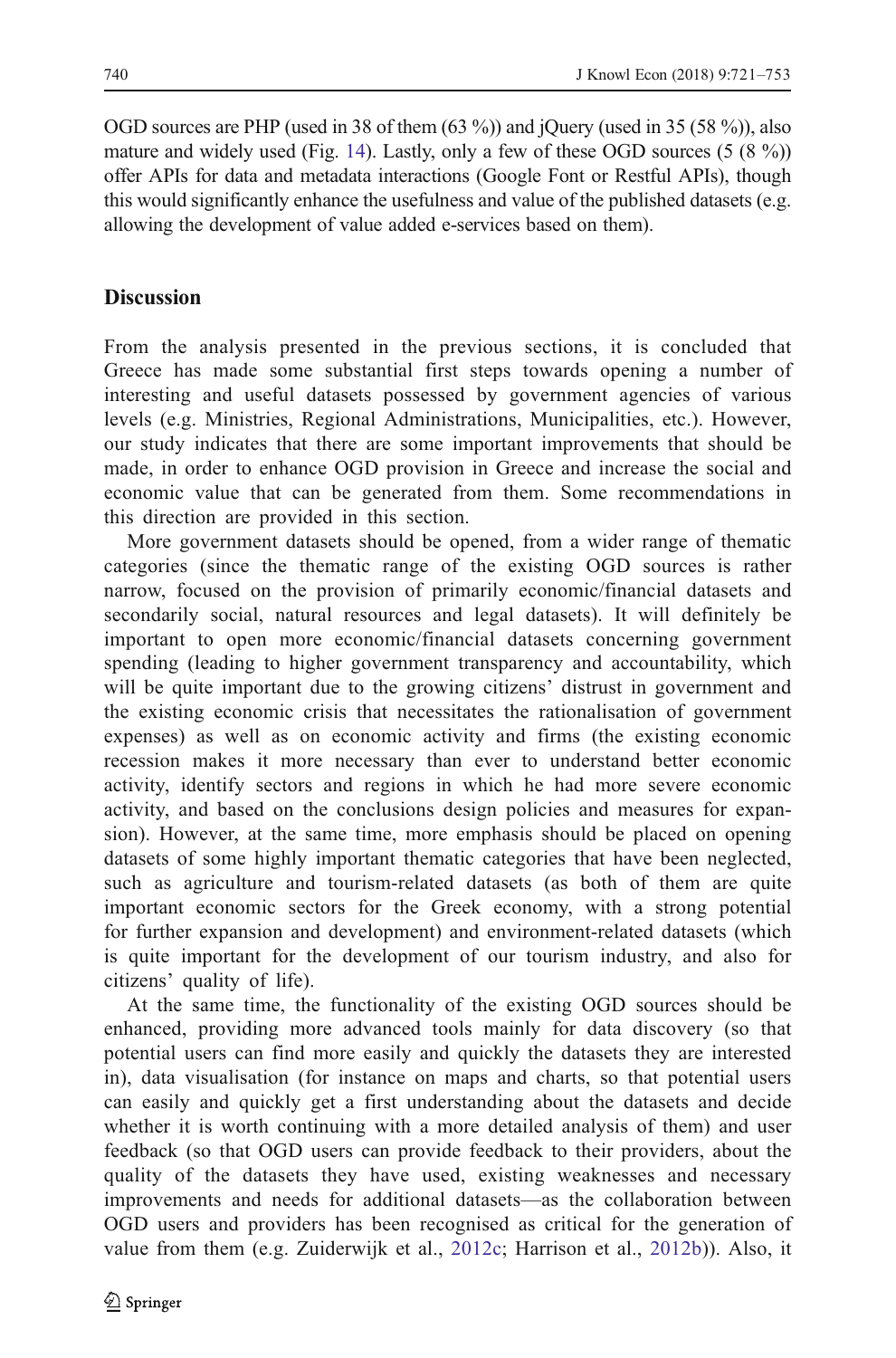OGD sources are PHP (used in 38 of them (63 %)) and jQuery (used in 35 (58 %)), also mature and widely used (Fig. [14](#page-22-0)). Lastly, only a few of these OGD sources  $(5 (8 \%))$ offer APIs for data and metadata interactions (Google Font or Restful APIs), though this would significantly enhance the usefulness and value of the published datasets (e.g. allowing the development of value added e-services based on them).

#### **Discussion**

From the analysis presented in the previous sections, it is concluded that Greece has made some substantial first steps towards opening a number of interesting and useful datasets possessed by government agencies of various levels (e.g. Ministries, Regional Administrations, Municipalities, etc.). However, our study indicates that there are some important improvements that should be made, in order to enhance OGD provision in Greece and increase the social and economic value that can be generated from them. Some recommendations in this direction are provided in this section.

More government datasets should be opened, from a wider range of thematic categories (since the thematic range of the existing OGD sources is rather narrow, focused on the provision of primarily economic/financial datasets and secondarily social, natural resources and legal datasets). It will definitely be important to open more economic/financial datasets concerning government spending (leading to higher government transparency and accountability, which will be quite important due to the growing citizens' distrust in government and the existing economic crisis that necessitates the rationalisation of government expenses) as well as on economic activity and firms (the existing economic recession makes it more necessary than ever to understand better economic activity, identify sectors and regions in which he had more severe economic activity, and based on the conclusions design policies and measures for expansion). However, at the same time, more emphasis should be placed on opening datasets of some highly important thematic categories that have been neglected, such as agriculture and tourism-related datasets (as both of them are quite important economic sectors for the Greek economy, with a strong potential for further expansion and development) and environment-related datasets (which is quite important for the development of our tourism industry, and also for citizens' quality of life).

At the same time, the functionality of the existing OGD sources should be enhanced, providing more advanced tools mainly for data discovery (so that potential users can find more easily and quickly the datasets they are interested in), data visualisation (for instance on maps and charts, so that potential users can easily and quickly get a first understanding about the datasets and decide whether it is worth continuing with a more detailed analysis of them) and user feedback (so that OGD users can provide feedback to their providers, about the quality of the datasets they have used, existing weaknesses and necessary improvements and needs for additional datasets—as the collaboration between OGD users and providers has been recognised as critical for the generation of value from them (e.g. Zuiderwijk et al., [2012c](#page-32-0); Harrison et al., [2012b](#page-30-0))). Also, it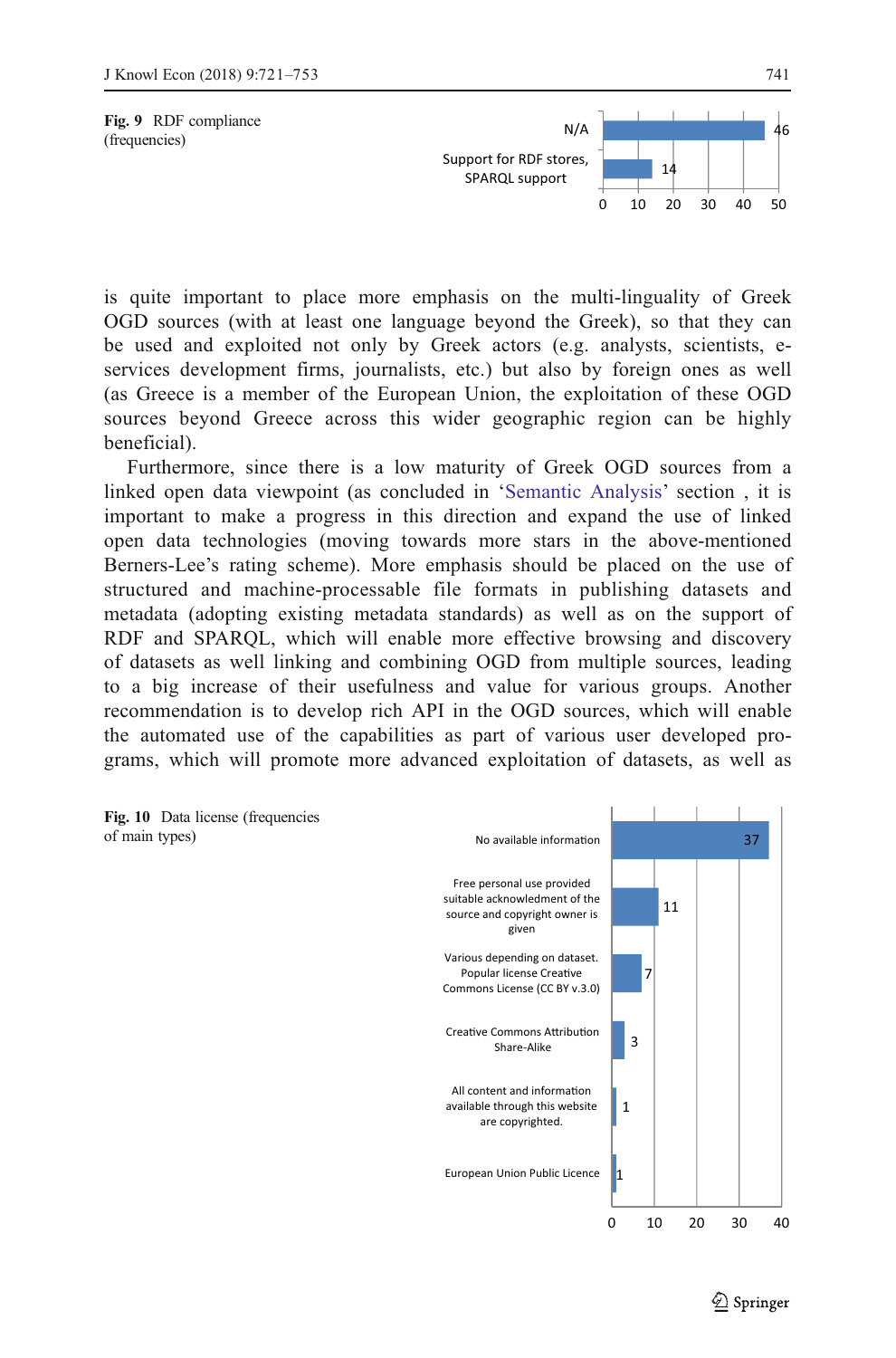<span id="page-20-0"></span>Fig. 9 RDF compliance (frequencies)



is quite important to place more emphasis on the multi-linguality of Greek OGD sources (with at least one language beyond the Greek), so that they can be used and exploited not only by Greek actors (e.g. analysts, scientists, eservices development firms, journalists, etc.) but also by foreign ones as well (as Greece is a member of the European Union, the exploitation of these OGD sources beyond Greece across this wider geographic region can be highly beneficial).

Furthermore, since there is a low maturity of Greek OGD sources from a linked open data viewpoint (as concluded in '[Semantic Analysis](#page-16-0)' section , it is important to make a progress in this direction and expand the use of linked open data technologies (moving towards more stars in the above-mentioned Berners-Lee's rating scheme). More emphasis should be placed on the use of structured and machine-processable file formats in publishing datasets and metadata (adopting existing metadata standards) as well as on the support of RDF and SPARQL, which will enable more effective browsing and discovery of datasets as well linking and combining OGD from multiple sources, leading to a big increase of their usefulness and value for various groups. Another recommendation is to develop rich API in the OGD sources, which will enable the automated use of the capabilities as part of various user developed programs, which will promote more advanced exploitation of datasets, as well as



0 10 20 30 40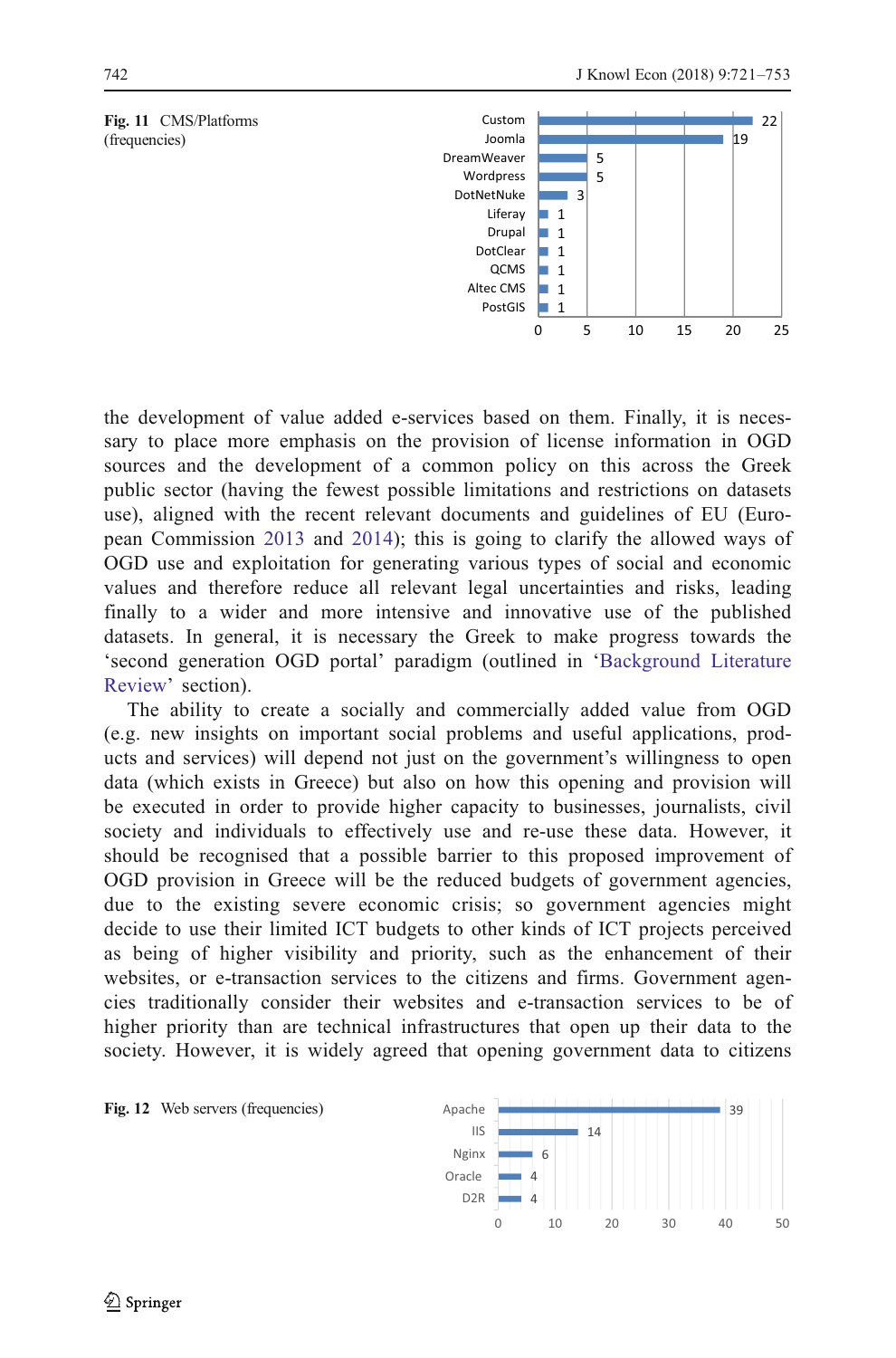<span id="page-21-0"></span>



the development of value added e-services based on them. Finally, it is necessary to place more emphasis on the provision of license information in OGD sources and the development of a common policy on this across the Greek public sector (having the fewest possible limitations and restrictions on datasets use), aligned with the recent relevant documents and guidelines of EU (European Commission [2013](#page-30-0) and [2014](#page-30-0)); this is going to clarify the allowed ways of OGD use and exploitation for generating various types of social and economic values and therefore reduce all relevant legal uncertainties and risks, leading finally to a wider and more intensive and innovative use of the published datasets. In general, it is necessary the Greek to make progress towards the 'second generation OGD portal' paradigm (outlined in '[Background Literature](#page-3-0) [Review](#page-3-0)' section).

The ability to create a socially and commercially added value from OGD (e.g. new insights on important social problems and useful applications, products and services) will depend not just on the government's willingness to open data (which exists in Greece) but also on how this opening and provision will be executed in order to provide higher capacity to businesses, journalists, civil society and individuals to effectively use and re-use these data. However, it should be recognised that a possible barrier to this proposed improvement of OGD provision in Greece will be the reduced budgets of government agencies, due to the existing severe economic crisis; so government agencies might decide to use their limited ICT budgets to other kinds of ICT projects perceived as being of higher visibility and priority, such as the enhancement of their websites, or e-transaction services to the citizens and firms. Government agencies traditionally consider their websites and e-transaction services to be of higher priority than are technical infrastructures that open up their data to the society. However, it is widely agreed that opening government data to citizens



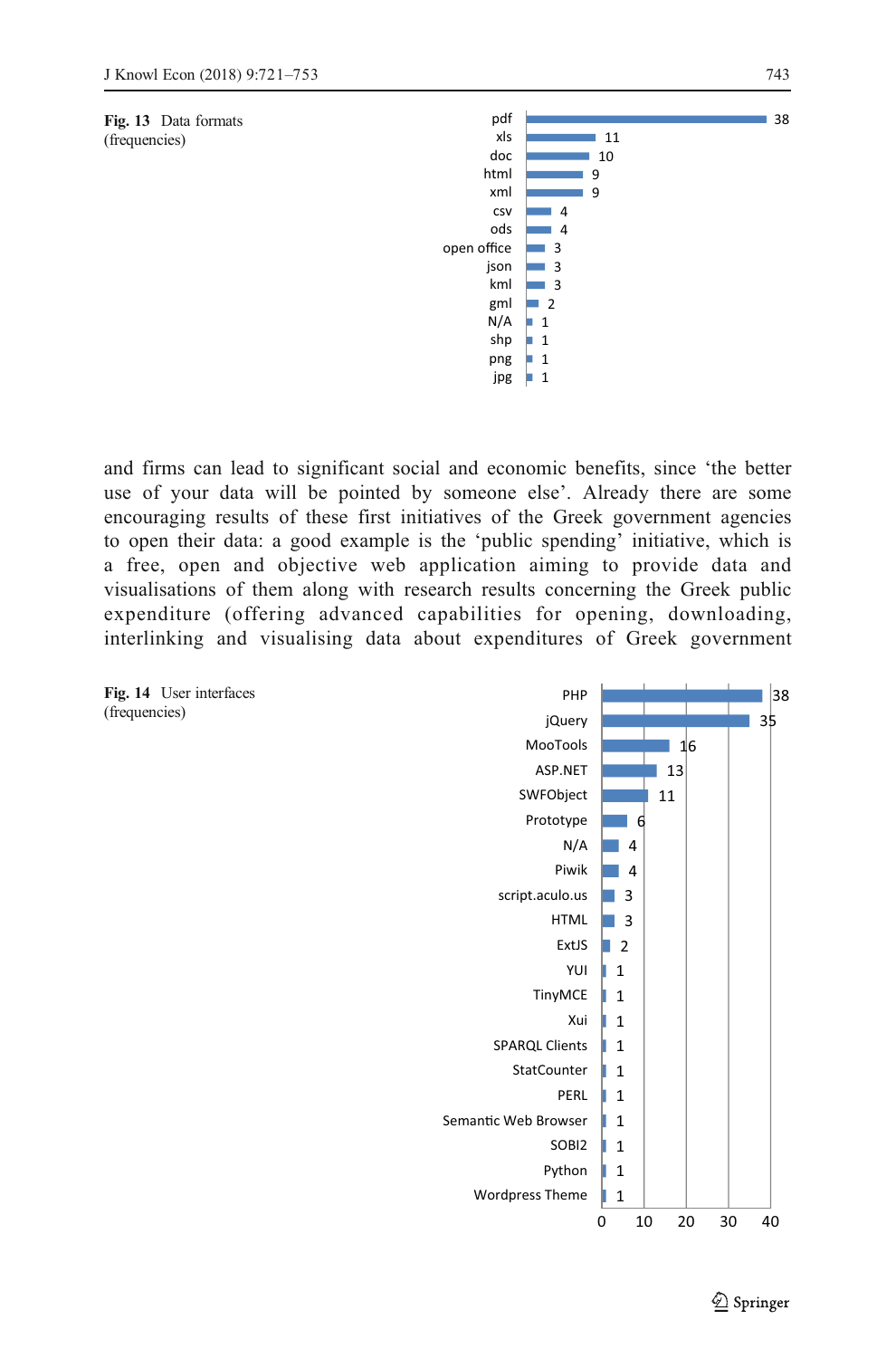<span id="page-22-0"></span>Fig. 13 Data formats pdf (frequencies)



and firms can lead to significant social and economic benefits, since 'the better use of your data will be pointed by someone else'. Already there are some encouraging results of these first initiatives of the Greek government agencies to open their data: a good example is the 'public spending' initiative, which is a free, open and objective web application aiming to provide data and visualisations of them along with research results concerning the Greek public expenditure (offering advanced capabilities for opening, downloading, interlinking and visualising data about expenditures of Greek government

(frequencies)

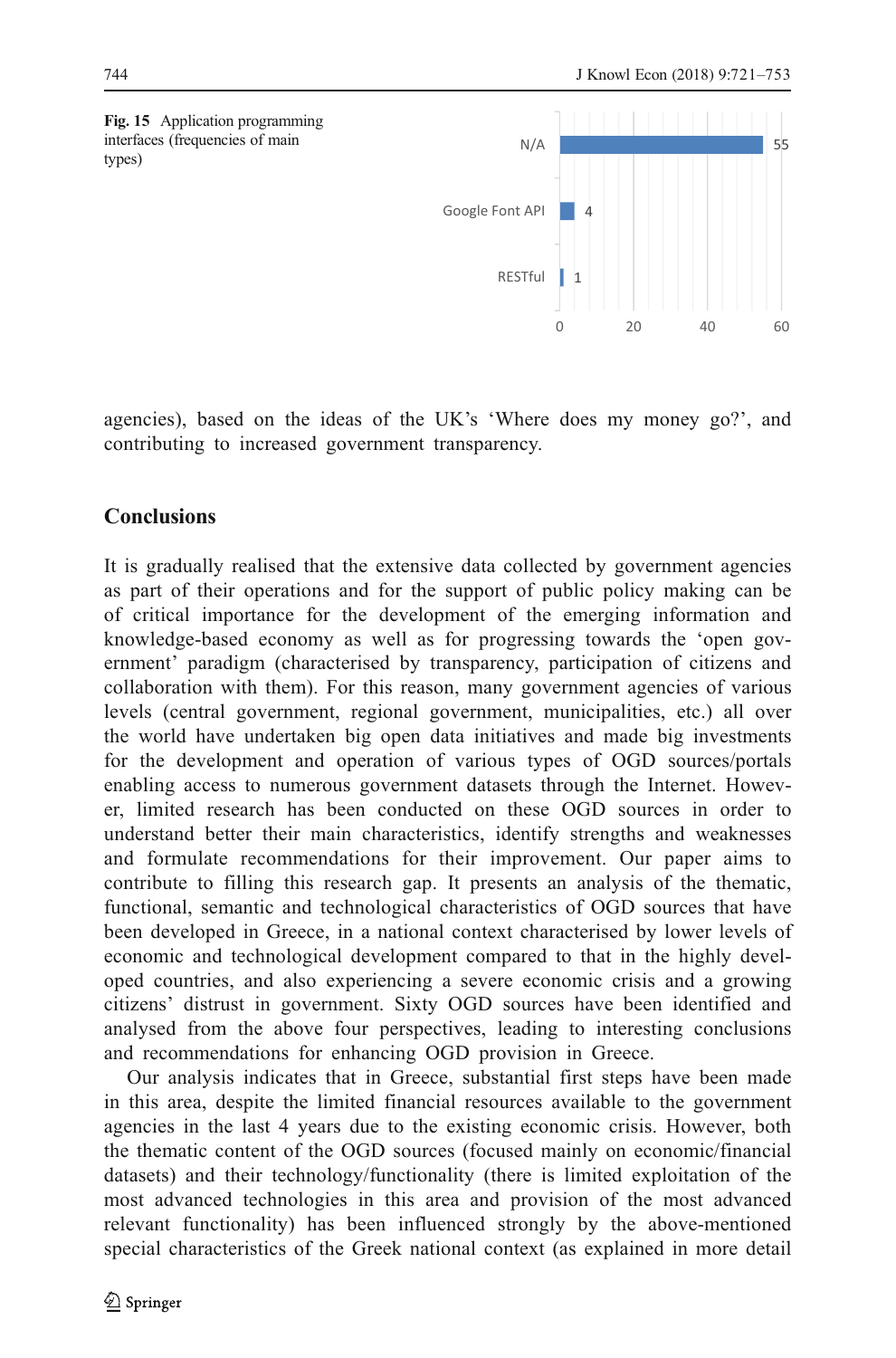<span id="page-23-0"></span>



agencies), based on the ideas of the UK's 'Where does my money go?', and contributing to increased government transparency.

# **Conclusions**

It is gradually realised that the extensive data collected by government agencies as part of their operations and for the support of public policy making can be of critical importance for the development of the emerging information and knowledge-based economy as well as for progressing towards the 'open government' paradigm (characterised by transparency, participation of citizens and collaboration with them). For this reason, many government agencies of various levels (central government, regional government, municipalities, etc.) all over the world have undertaken big open data initiatives and made big investments for the development and operation of various types of OGD sources/portals enabling access to numerous government datasets through the Internet. However, limited research has been conducted on these OGD sources in order to understand better their main characteristics, identify strengths and weaknesses and formulate recommendations for their improvement. Our paper aims to contribute to filling this research gap. It presents an analysis of the thematic, functional, semantic and technological characteristics of OGD sources that have been developed in Greece, in a national context characterised by lower levels of economic and technological development compared to that in the highly developed countries, and also experiencing a severe economic crisis and a growing citizens' distrust in government. Sixty OGD sources have been identified and analysed from the above four perspectives, leading to interesting conclusions and recommendations for enhancing OGD provision in Greece.

Our analysis indicates that in Greece, substantial first steps have been made in this area, despite the limited financial resources available to the government agencies in the last 4 years due to the existing economic crisis. However, both the thematic content of the OGD sources (focused mainly on economic/financial datasets) and their technology/functionality (there is limited exploitation of the most advanced technologies in this area and provision of the most advanced relevant functionality) has been influenced strongly by the above-mentioned special characteristics of the Greek national context (as explained in more detail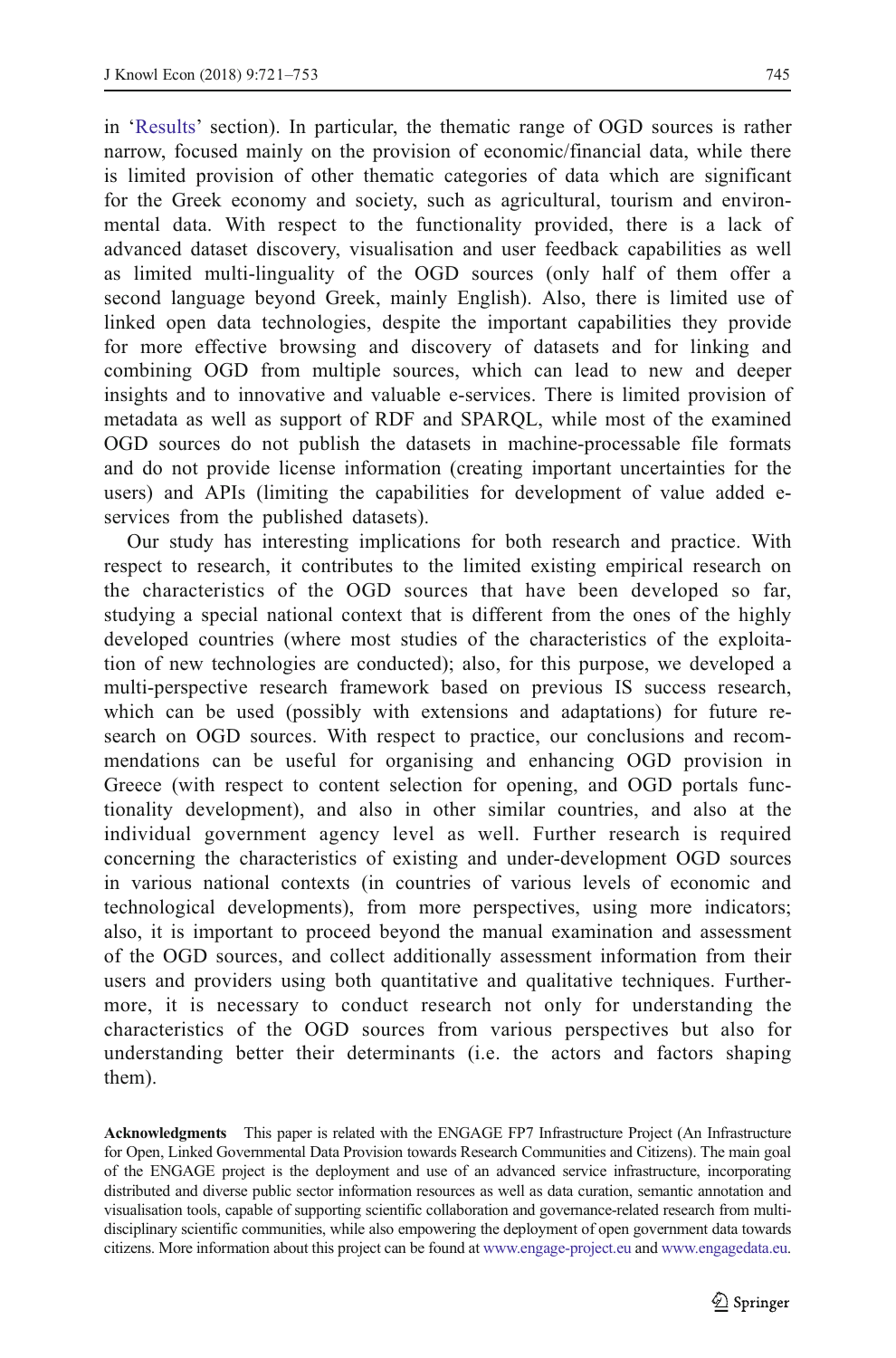in '[Results](#page-14-0)' section). In particular, the thematic range of OGD sources is rather narrow, focused mainly on the provision of economic/financial data, while there is limited provision of other thematic categories of data which are significant for the Greek economy and society, such as agricultural, tourism and environmental data. With respect to the functionality provided, there is a lack of advanced dataset discovery, visualisation and user feedback capabilities as well as limited multi-linguality of the OGD sources (only half of them offer a second language beyond Greek, mainly English). Also, there is limited use of linked open data technologies, despite the important capabilities they provide for more effective browsing and discovery of datasets and for linking and combining OGD from multiple sources, which can lead to new and deeper insights and to innovative and valuable e-services. There is limited provision of metadata as well as support of RDF and SPARQL, while most of the examined OGD sources do not publish the datasets in machine-processable file formats and do not provide license information (creating important uncertainties for the users) and APIs (limiting the capabilities for development of value added eservices from the published datasets).

Our study has interesting implications for both research and practice. With respect to research, it contributes to the limited existing empirical research on the characteristics of the OGD sources that have been developed so far, studying a special national context that is different from the ones of the highly developed countries (where most studies of the characteristics of the exploitation of new technologies are conducted); also, for this purpose, we developed a multi-perspective research framework based on previous IS success research, which can be used (possibly with extensions and adaptations) for future research on OGD sources. With respect to practice, our conclusions and recommendations can be useful for organising and enhancing OGD provision in Greece (with respect to content selection for opening, and OGD portals functionality development), and also in other similar countries, and also at the individual government agency level as well. Further research is required concerning the characteristics of existing and under-development OGD sources in various national contexts (in countries of various levels of economic and technological developments), from more perspectives, using more indicators; also, it is important to proceed beyond the manual examination and assessment of the OGD sources, and collect additionally assessment information from their users and providers using both quantitative and qualitative techniques. Furthermore, it is necessary to conduct research not only for understanding the characteristics of the OGD sources from various perspectives but also for understanding better their determinants (i.e. the actors and factors shaping them).

Acknowledgments This paper is related with the ENGAGE FP7 Infrastructure Project (An Infrastructure for Open, Linked Governmental Data Provision towards Research Communities and Citizens). The main goal of the ENGAGE project is the deployment and use of an advanced service infrastructure, incorporating distributed and diverse public sector information resources as well as data curation, semantic annotation and visualisation tools, capable of supporting scientific collaboration and governance-related research from multidisciplinary scientific communities, while also empowering the deployment of open government data towards citizens. More information about this project can be found at [www.engage-project.eu](http://www.engage-project.eu/) and [www.engagedata.eu](http://www.engagedata.eu/).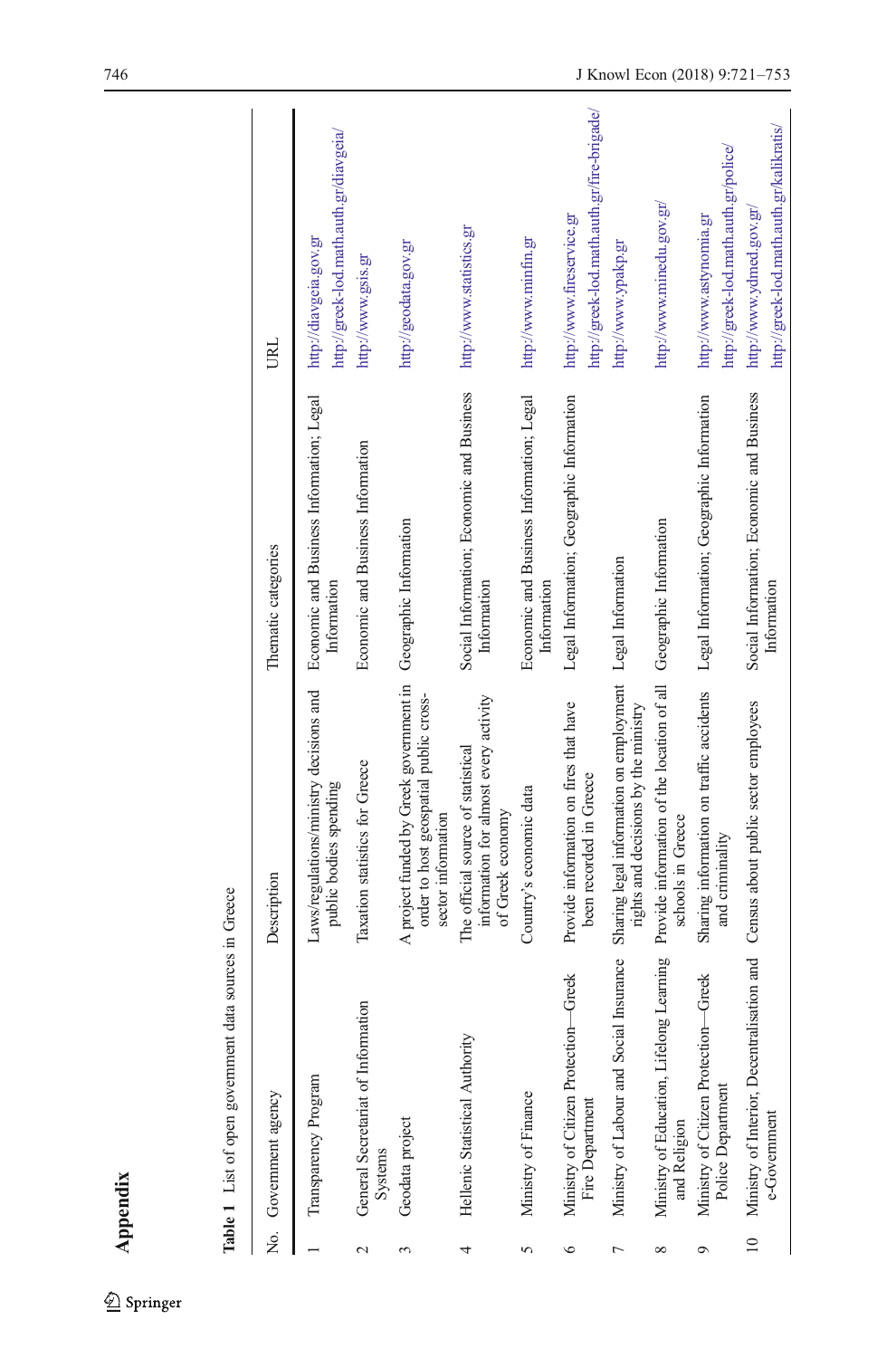<span id="page-25-0"></span>

|           | Table 1 List of open government data sources in Greece                                          |                                                                                                         |                                                          |                                                                          |
|-----------|-------------------------------------------------------------------------------------------------|---------------------------------------------------------------------------------------------------------|----------------------------------------------------------|--------------------------------------------------------------------------|
|           | No. Government agency                                                                           | Description                                                                                             | Thematic categories                                      | URL                                                                      |
|           | Transparency Program                                                                            | Laws/regulations/ministry decisions and<br>public bodies spending                                       | Economic and Business Information; Legal<br>Information  | http://greek-lod.math.auth.gr/diavgeia/<br>http://diavgeia.gov.gr        |
|           | General Secretariat of Information<br>Systems                                                   | Taxation statistics for Greece                                                                          | Economic and Business Information                        | http://www.gsis.gr                                                       |
|           | Geodata project                                                                                 | A project funded by Greek government in<br>order to host geospatial public cross-<br>sector information | Geographic Information                                   | http://geodata.gov.gr                                                    |
| 4         | Hellenic Statistical Authority                                                                  | information for almost every activity<br>The official source of statistical<br>of Greek economy         | Social Information; Economic and Business<br>Information | http://www.statistics.gr                                                 |
| 5         | Ministry of Finance                                                                             | Country's economic data                                                                                 | Economic and Business Information; Legal<br>Information  | http://www.minfin.gr                                                     |
| 6         | Greek<br>Ministry of Citizen Protection-<br>Fire Department                                     | Provide information on fires that have<br>been recorded in Greece                                       | Legal Information; Geographic Information                | http://greek-lod.math.auth.gr/fire-brigade/<br>http://www.fireservice.gr |
|           | nsurance<br>Ministry of Labour and Social I                                                     | Sharing legal information on employment Legal Information<br>rights and decisions by the ministry       |                                                          | http://www.ypakp.gr                                                      |
| ∞         | Ministry of Education, Lifelong Learning<br>and Religion                                        | Provide information of the location of all Geographic Information<br>schools in Greece                  |                                                          | http://www.minedu.gov.gr/                                                |
| Ò         | Greek<br>Ministry of Citizen Protection-<br>Police Department                                   | Sharing information on traffic accidents<br>and criminality                                             | Legal Information; Geographic Information                | http://greek-lod.math.auth.gr/police/<br>http://www.astynomia.gr         |
| $\approx$ | Ministry of Interior, Decentralisation and Census about public sector employees<br>e-Government |                                                                                                         | Social Information; Economic and Business<br>Information | http://greek-lod.math.auth.gr/kalikratis/<br>http://www.ydmed.gov.gr/    |

 $\underline{\textcircled{\tiny 2}}$  Springer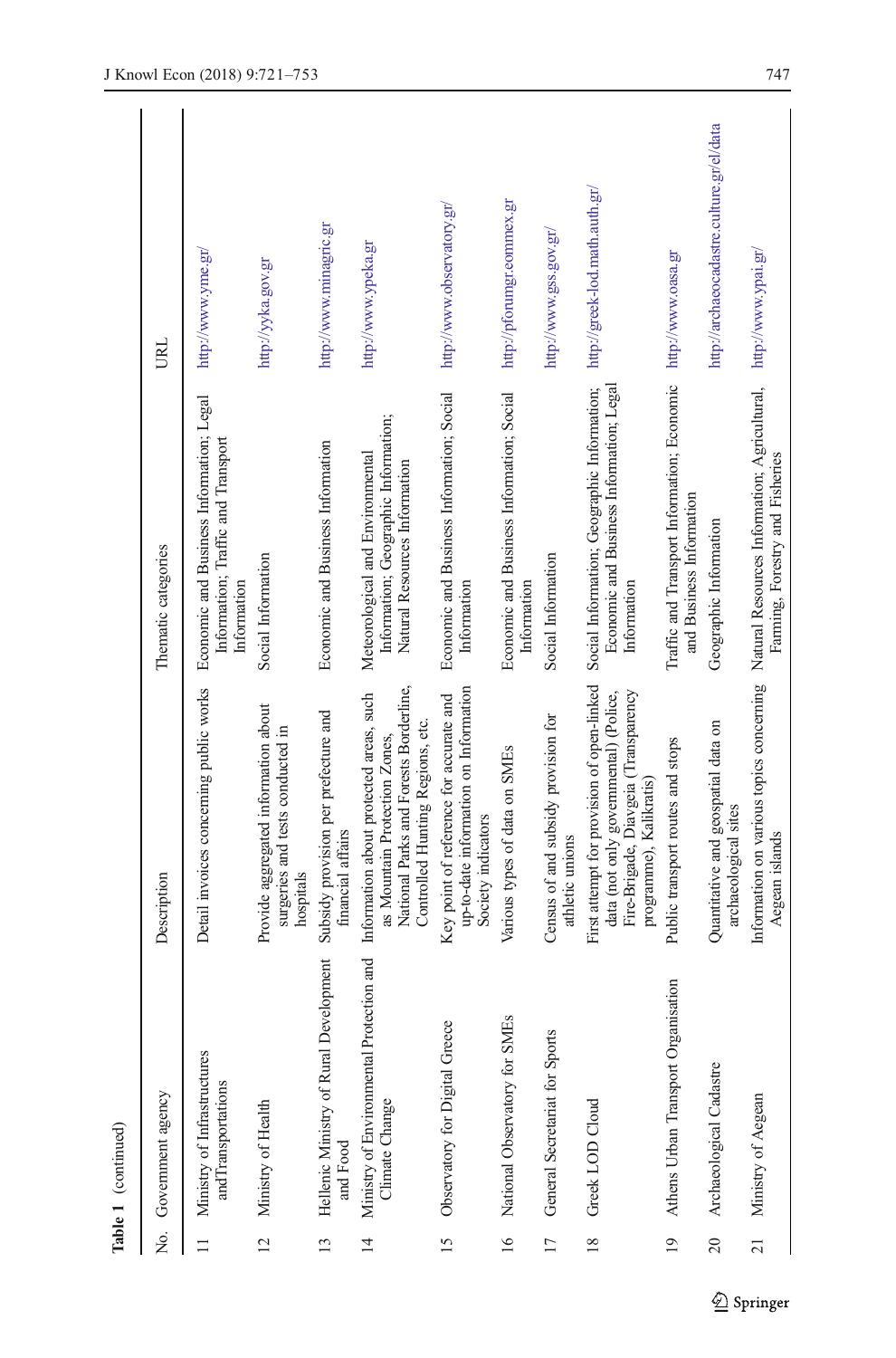| ,<br>Ž          | Government agency                                          | Description                                                                                                                                            | Thematic categories                                                                                                      | URL                                       |
|-----------------|------------------------------------------------------------|--------------------------------------------------------------------------------------------------------------------------------------------------------|--------------------------------------------------------------------------------------------------------------------------|-------------------------------------------|
|                 | Ministry of Infrastructures<br>andTransportations          | Detail invoices concerning public works                                                                                                                | Economic and Business Information; Legal<br>Information; Traffic and Transport<br>Information                            | http://www.yme.gr/                        |
| $\overline{c}$  | Ministry of Health                                         | Provide aggregated information about<br>surgeries and tests conducted in<br>hospitals                                                                  | Social Information                                                                                                       | http://yyka.gov.gr                        |
|                 | Hellenic Ministry of Rural Development<br>and Food         | Subsidy provision per prefecture and<br>financial affairs                                                                                              | Economic and Business Information                                                                                        | http://www.minagric.gr                    |
| $\overline{4}$  | Ministry of Environmental Protection and<br>Climate Change | National Parks and Forests Borderline,<br>Information about protected areas, such<br>Controlled Hunting Regions, etc.<br>as Mountain Protection Zones, | Information; Geographic Information;<br>Meteorological and Environmental<br>Natural Resources Information                | http://www.ypeka.gr                       |
| $\frac{15}{2}$  | Observatory for Digital Greece                             | up-to-date information on Information<br>Key point of reference for accurate and<br>Society indicators                                                 | Economic and Business Information; Social<br>Information                                                                 | http://www.observatory.gr/                |
| $\frac{6}{1}$   | National Observatory for SMEs                              | Various types of data on SMEs                                                                                                                          | Economic and Business Information; Social<br>Information                                                                 | http://pforumgr.eommex.gr                 |
| $\overline{17}$ | General Secretariat for Sports                             | Census of and subsidy provision for<br>athletic unions                                                                                                 | Social Information                                                                                                       | http://www.gss.gov.gr/                    |
| $\overline{18}$ | Greek LOD Cloud                                            | First attempt for provision of open-linked<br>Fire-Brigade, Diavgeia (Transparency<br>data (not only governmental) (Police,<br>programme), Kalikratis) | Social Information; Geographic Information;<br>Economic and Business Information; Legal<br>Information                   | http://greek-lod.math.auth.gr/            |
| $\overline{19}$ | Athens Urban Transport Organisation                        | Public transport routes and stops                                                                                                                      | Traffic and Transport Information; Economic<br>and Business Information                                                  | http://www.oasa.gr                        |
| $\overline{c}$  | Archaeological Cadastre                                    | Quantitative and geospatial data on<br>archaeological sites                                                                                            | Geographic Information                                                                                                   | http://archaeocadastre.culture.gr/el/data |
|                 | 21 Ministry of Aegean                                      | Aegean islands                                                                                                                                         | Information on various topics concerning Natural Resources Information; Agricultural,<br>Farming, Forestry and Fisheries | http://www.ypai.gr/                       |

Table 1 (continued)

Table 1 (continued)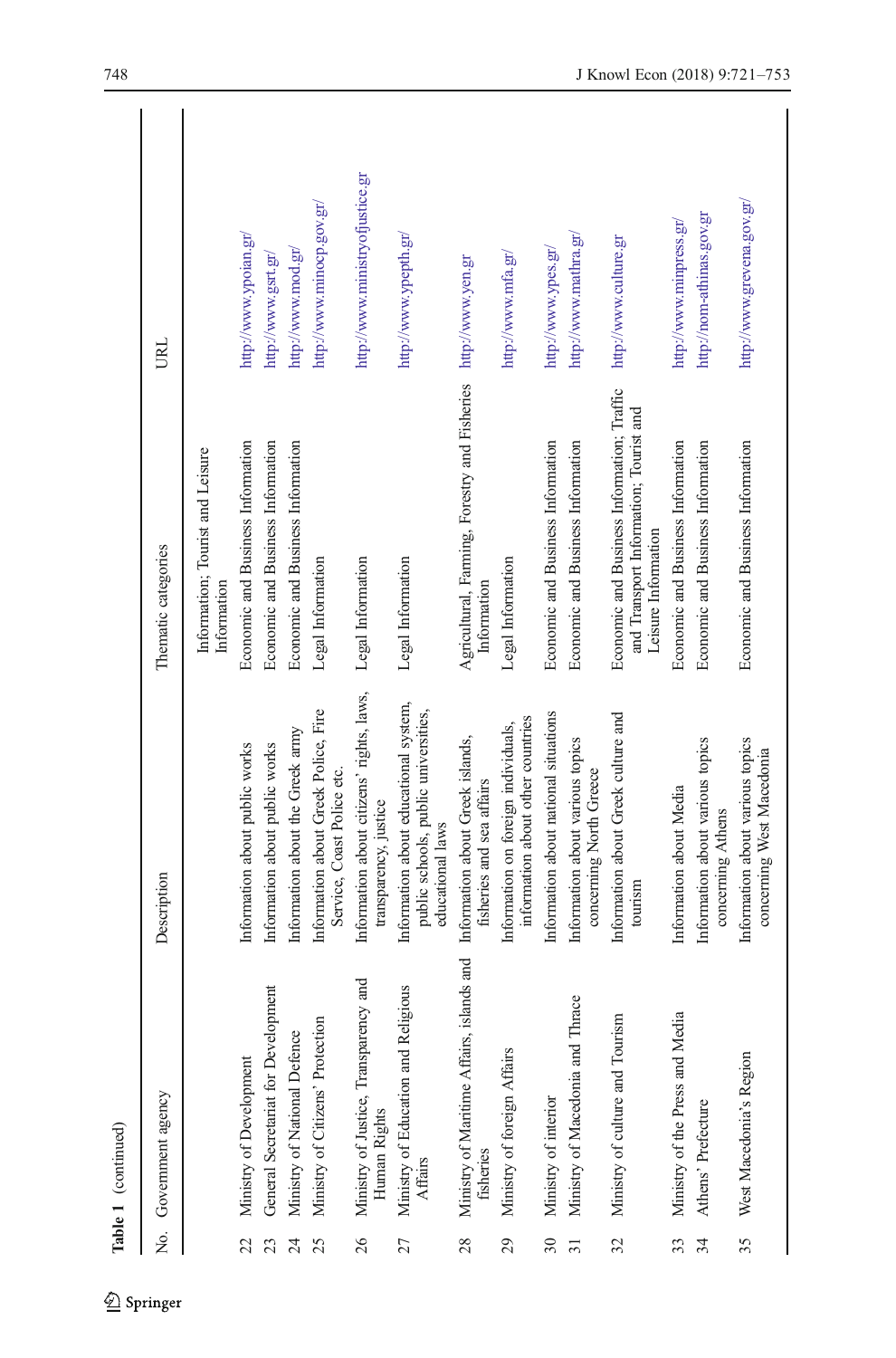|                          | Table 1 (continued)                                      |                                                                                                   |                                                                                                             |                                 |
|--------------------------|----------------------------------------------------------|---------------------------------------------------------------------------------------------------|-------------------------------------------------------------------------------------------------------------|---------------------------------|
|                          | No. Government agency                                    | Description                                                                                       | Thematic categories                                                                                         | URL                             |
|                          |                                                          |                                                                                                   | Information; Tourist and Leisure<br>Information                                                             |                                 |
| 22                       | Ministry of Development                                  | Information about public works                                                                    | Economic and Business Information                                                                           | http://www.ypoian.gr/           |
| 23                       | General Secretariat for Development                      | Information about public works                                                                    | Economic and Business Information                                                                           | http://www.gsrt.gr/             |
| $\overline{24}$          | Ministry of National Defence                             | Information about the Greek army                                                                  | Economic and Business Information                                                                           | http://www.mod.gr/              |
| 25                       | Ministry of Citizens' Protection                         | Information about Greek Police, Fire<br>Service, Coast Police etc.                                | Legal Information                                                                                           | http://www.minocp.gov.gr/       |
| 26                       | and<br>Ministry of Justice, Transparency<br>Human Rights | Information about citizens' rights, laws,<br>transparency, justice                                | Legal Information                                                                                           | http://www.ministryofjustice.gr |
| 27                       | Ministry of Education and Religious<br>Affairs           | Information about educational system,<br>public schools, public universities,<br>educational laws | Legal Information                                                                                           | http://www.ypepth.gr/           |
| 28                       | Ministry of Maritime Affairs, islands and<br>fisheries   | Information about Greek islands,<br>fisheries and sea affairs                                     | Agricultural, Farming, Forestry and Fisheries http://www.yen.gr<br>Information                              |                                 |
| 29                       | Ministry of foreign Affairs                              | information about other countries<br>Information on foreign individuals,                          | Legal Information                                                                                           | http://www.mfa.gr/              |
| $\overline{\mathcal{E}}$ | Ministry of interior                                     | Information about national situations                                                             | Economic and Business Information                                                                           | http://www.ypes.gr/             |
| $\overline{31}$          | Ministry of Macedonia and Thrace                         | Information about various topics<br>concerning North Greece                                       | Economic and Business Information                                                                           | http://www.mathra.gr/           |
| 32                       | Ministry of culture and Tourism                          | Information about Greek culture and<br>tourism                                                    | Economic and Business Information; Traffic<br>and Transport Information; Tourist and<br>Leisure Information | http://www.culture.gr           |
| 33                       | Ministry of the Press and Media                          | Information about Media                                                                           | Economic and Business Information                                                                           | http://www.minpress.gr/         |
| 34                       | Athens' Prefecture                                       | Information about various topics<br>concerning Athens                                             | Economic and Business Information                                                                           | http://nom-athinas.gov.gr       |
| 35                       | West Macedonia's Region                                  | Information about various topics<br>concerning West Macedonia                                     | Economic and Business Information                                                                           | http://www.grevena.gov.gr/      |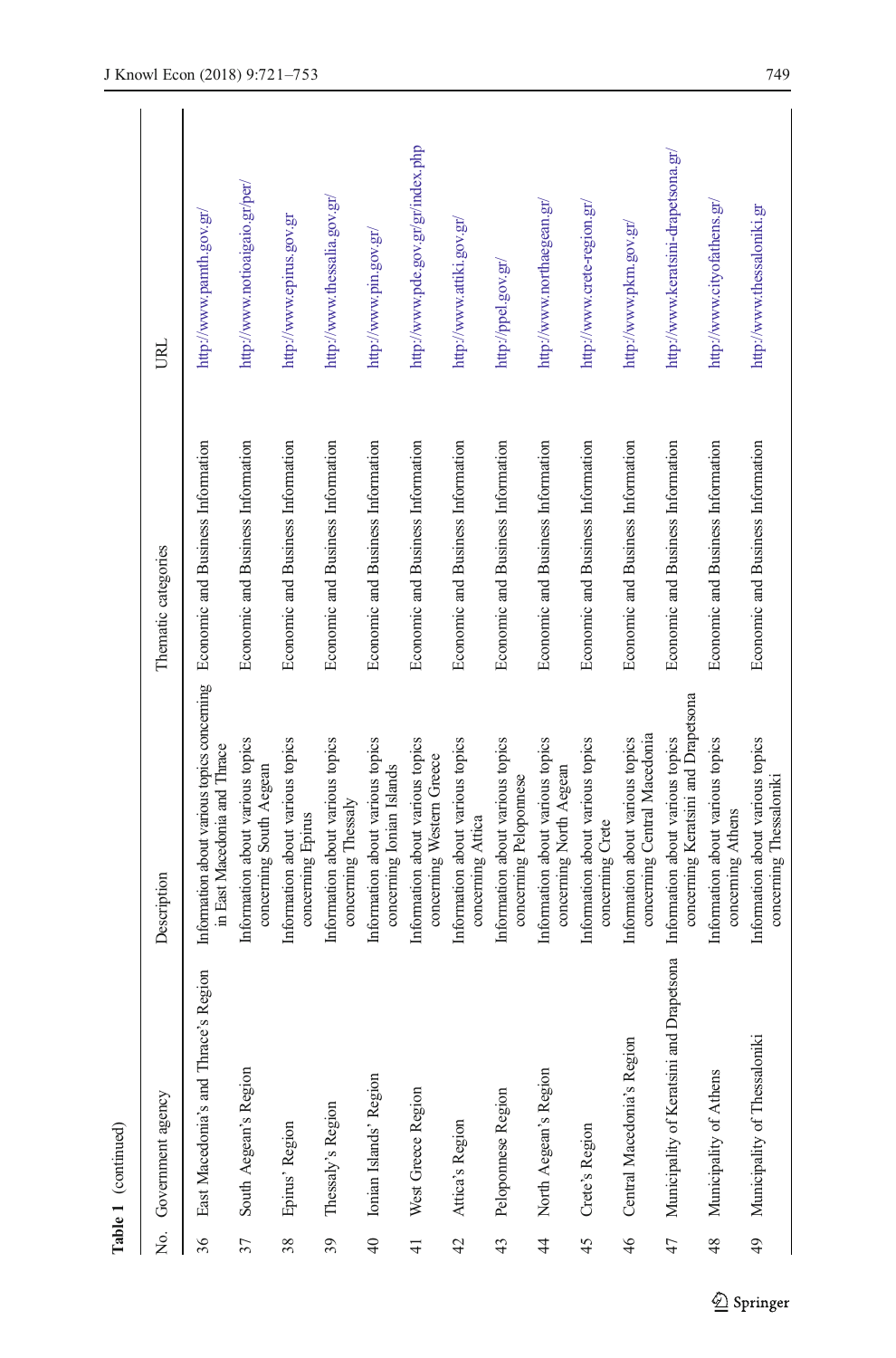| ,<br>Ž          | Government agency                             | Description                                                                 | Thematic categories               | URL                                 |
|-----------------|-----------------------------------------------|-----------------------------------------------------------------------------|-----------------------------------|-------------------------------------|
| 36              | Region<br>East Macedonia's and Thrace's       | Information about various topics concerning<br>in East Macedonia and Thrace | Economic and Business Information | http://www.pamth.gov.gr/            |
| 37              | South Aegean's Region                         | Information about various topics<br>concerning South Aegean                 | Economic and Business Information | http://www.notioaigaio.gr/per/      |
| 38              | Epirus' Region                                | Information about various topics<br>concerning Epirus                       | Economic and Business Information | http://www.epirus.gov.gr            |
| $\frac{39}{2}$  | Thessaly's Region                             | Information about various topics<br>concerning Thessaly                     | Economic and Business Information | http://www.thessalia.gov.gr/        |
| $rac{1}{4}$     | Ionian Islands' Region                        | Information about various topics<br>concerning Ionian Islands               | Economic and Business Information | http://www.pin.gov.gr/              |
| $\frac{4}{1}$   | West Greece Region                            | Information about various topics<br>concerning Western Greece               | Economic and Business Information | http://www.pde.gov.gr/gr/index.php  |
| $\overline{42}$ | Attica's Region                               | Information about various topics<br>concerning Attica                       | Economic and Business Information | http://www.attiki.gov.gr/           |
| 43              | Peloponnese Region                            | Information about various topics<br>concerning Peloponnese                  | Economic and Business Information | http://ppel.gov.gr/                 |
| $\frac{4}{3}$   | North Aegean's Region                         | Information about various topics<br>concerning North Aegean                 | Economic and Business Information | http://www.northaegean.gr/          |
| 45              | Crete's Region                                | Information about various topics<br>concerning Crete                        | Economic and Business Information | http://www.crete-region.gr/         |
| $\frac{4}{6}$   | Central Macedonia's Region                    | concerning Central Macedonia<br>Information about various topics            | Economic and Business Information | http://www.pkm.gov.gr/              |
| 47              | rapetsona<br>Municipality of Keratsini and Dr | concerning Keratsini and Drapetsona<br>Information about various topics     | Economic and Business Information | http://www.keratsini-drapetsona.gr/ |
| 48              | Municipality of Athens                        | Information about various topics<br>concerning Athens                       | Economic and Business Information | http://www.cityofathens.gr/         |
| $\frac{4}{9}$   | Municipality of Thessaloniki                  | Information about various topics<br>concerning Thessaloniki                 | Economic and Business Information | http://www.thessaloniki.gr          |

Table 1 (continued)

Table 1 (continued)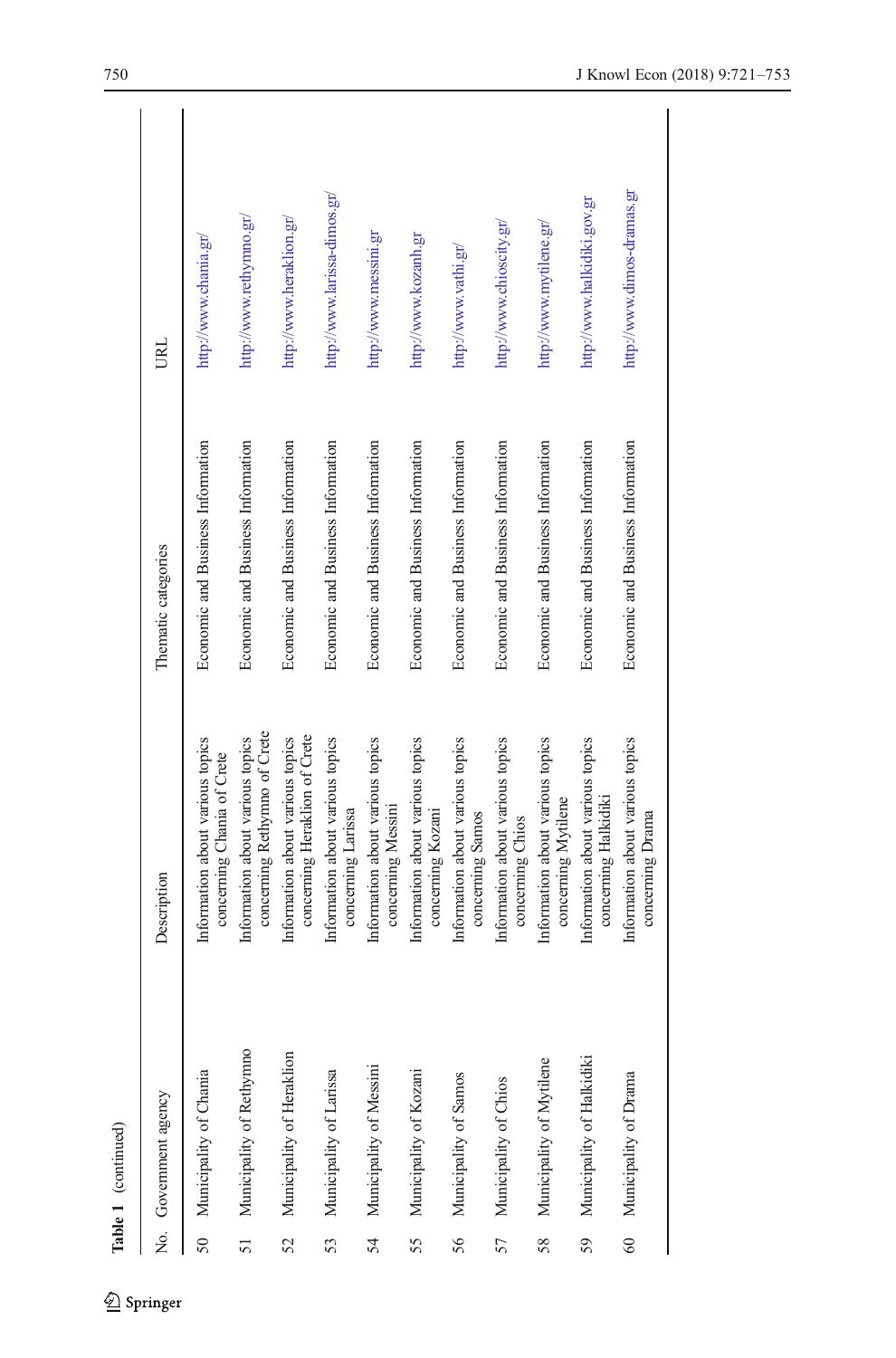|                 | No. Government agency     | Description                                                       | Thematic categories               | URL                          |
|-----------------|---------------------------|-------------------------------------------------------------------|-----------------------------------|------------------------------|
| 50 <sub>5</sub> | Municipality of Chania    | Information about various topics<br>concerning Chania of Crete    | Economic and Business Information | http://www.chania.gr/        |
| 51              | Municipality of Rethymno  | concerning Rethymno of Crete<br>Information about various topics  | Economic and Business Information | http://www.rethymno.gr/      |
| 52              | Municipality of Heraklion | concerning Heraklion of Crete<br>Information about various topics | Economic and Business Information | http://www.heraklion.gr/     |
| 53              | Municipality of Larissa   | Information about various topics<br>concerning Larissa            | Economic and Business Information | http://www.larissa-dimos.gr/ |
| 54              | Municipality of Messini   | Information about various topics<br>concerning Messini            | Economic and Business Information | http://www.messini.gr        |
| 55              | Municipality of Kozani    | Information about various topics<br>concerning Kozani             | Economic and Business Information | http://www.kozanh.gr         |
| 56              | Municipality of Samos     | Information about various topics<br>concerning Samos              | Economic and Business Information | http://www.vathi.gr/         |
| 57              | Municipality of Chios     | Information about various topics<br>concerning Chios              | Economic and Business Information | http://www.chioscity.gr/     |
| 58              | Municipality of Mytilene  | Information about various topics<br>concerning Mytilene           | Economic and Business Information | http://www.mytilene.gr/      |
| 59              | Municipality of Halkidiki | Information about various topics<br>concerning Halkidiki          | Economic and Business Information | http://www.halkidiki.gov.gr  |
| $\degree$       | Municipality of Drama     | Information about various topics<br>concerning Drama              | Economic and Business Information | http://www.dimos-dramas.gr   |

Table 1 (continued)

Table 1 (continued)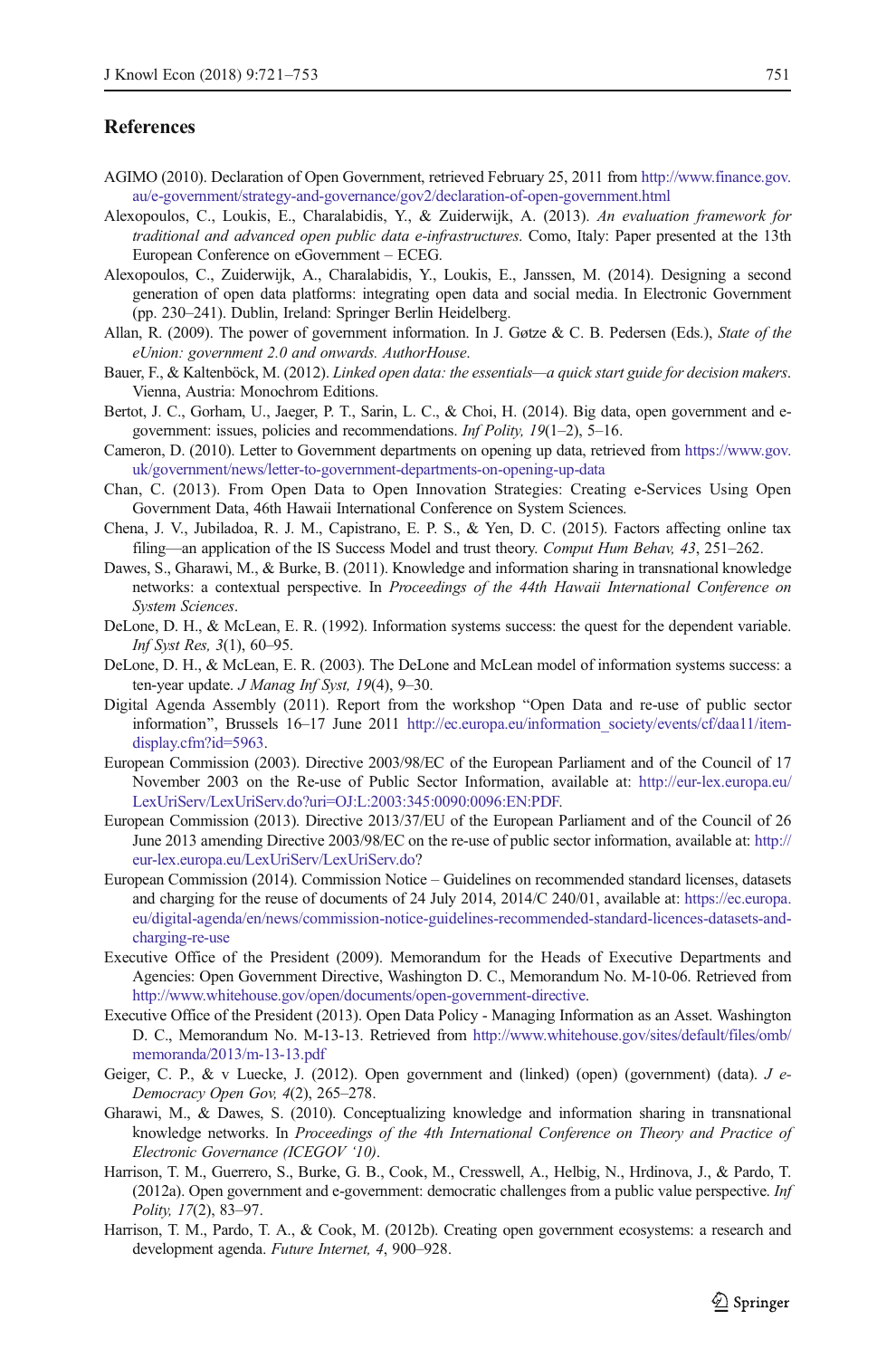#### <span id="page-30-0"></span>References

- AGIMO (2010). Declaration of Open Government, retrieved February 25, 2011 from [http://www.finance.gov.](http://www.finance.gov.au/e-government/strategy-and-governance/gov2/declaration-of-open-government.html) [au/e-government/strategy-and-governance/gov2/declaration-of-open-government.html](http://www.finance.gov.au/e-government/strategy-and-governance/gov2/declaration-of-open-government.html)
- Alexopoulos, C., Loukis, E., Charalabidis, Y., & Zuiderwijk, A. (2013). An evaluation framework for traditional and advanced open public data e-infrastructures. Como, Italy: Paper presented at the 13th European Conference on eGovernment – ECEG.
- Alexopoulos, C., Zuiderwijk, A., Charalabidis, Y., Loukis, E., Janssen, M. (2014). Designing a second generation of open data platforms: integrating open data and social media. In Electronic Government (pp. 230–241). Dublin, Ireland: Springer Berlin Heidelberg.
- Allan, R. (2009). The power of government information. In J. Gøtze & C. B. Pedersen (Eds.), State of the eUnion: government 2.0 and onwards. AuthorHouse.
- Bauer, F., & Kaltenböck, M. (2012). Linked open data: the essentials—a quick start guide for decision makers. Vienna, Austria: Monochrom Editions.
- Bertot, J. C., Gorham, U., Jaeger, P. T., Sarin, L. C., & Choi, H. (2014). Big data, open government and egovernment: issues, policies and recommendations. Inf Polity, 19(1–2), 5–16.
- Cameron, D. (2010). Letter to Government departments on opening up data, retrieved from [https://www.gov.](https://www.gov.uk/government/news/letter-to-government-departments-on-opening-up-data) [uk/government/news/letter-to-government-departments-on-opening-up-data](https://www.gov.uk/government/news/letter-to-government-departments-on-opening-up-data)
- Chan, C. (2013). From Open Data to Open Innovation Strategies: Creating e-Services Using Open Government Data, 46th Hawaii International Conference on System Sciences.
- Chena, J. V., Jubiladoa, R. J. M., Capistrano, E. P. S., & Yen, D. C. (2015). Factors affecting online tax filing—an application of the IS Success Model and trust theory. Comput Hum Behav, 43, 251–262.
- Dawes, S., Gharawi, M., & Burke, B. (2011). Knowledge and information sharing in transnational knowledge networks: a contextual perspective. In Proceedings of the 44th Hawaii International Conference on System Sciences.
- DeLone, D. H., & McLean, E. R. (1992). Information systems success: the quest for the dependent variable. Inf Syst Res, 3(1), 60–95.
- DeLone, D. H., & McLean, E. R. (2003). The DeLone and McLean model of information systems success: a ten-year update. J Manag Inf Syst, 19(4), 9–30.
- Digital Agenda Assembly (2011). Report from the workshop "Open Data and re-use of public sector information", Brussels 16–17 June 2011 [http://ec.europa.eu/information\\_society/events/cf/daa11/item](http://ec.europa.eu/information_society/events/cf/daa11/item-display.cfm?id=5963)[display.cfm?id=5963](http://ec.europa.eu/information_society/events/cf/daa11/item-display.cfm?id=5963).
- European Commission (2003). Directive 2003/98/EC of the European Parliament and of the Council of 17 November 2003 on the Re-use of Public Sector Information, available at: [http://eur-lex.europa.eu/](http://eur-lex.europa.eu/LexUriServ/LexUriServ.do?uri=OJ:L:2003:345:0090:0096:EN:PDF) [LexUriServ/LexUriServ.do?uri=OJ:L:2003:345:0090:0096:EN:PDF.](http://eur-lex.europa.eu/LexUriServ/LexUriServ.do?uri=OJ:L:2003:345:0090:0096:EN:PDF)
- European Commission (2013). Directive 2013/37/EU of the European Parliament and of the Council of 26 June 2013 amending Directive 2003/98/EC on the re-use of public sector information, available at: [http://](http://eur-lex.europa.eu/LexUriServ/LexUriServ.do) [eur-lex.europa.eu/LexUriServ/LexUriServ.do?](http://eur-lex.europa.eu/LexUriServ/LexUriServ.do)
- European Commission (2014). Commission Notice Guidelines on recommended standard licenses, datasets and charging for the reuse of documents of 24 July 2014, 2014/C 240/01, available at: [https://ec.europa.](https://ec.europa.eu/digital-agenda/en/news/commission-notice-guidelines-recommended-standard-licences-datasets-and-charging-re-use) [eu/digital-agenda/en/news/commission-notice-guidelines-recommended-standard-licences-datasets-and](https://ec.europa.eu/digital-agenda/en/news/commission-notice-guidelines-recommended-standard-licences-datasets-and-charging-re-use)[charging-re-use](https://ec.europa.eu/digital-agenda/en/news/commission-notice-guidelines-recommended-standard-licences-datasets-and-charging-re-use)
- Executive Office of the President (2009). Memorandum for the Heads of Executive Departments and Agencies: Open Government Directive, Washington D. C., Memorandum No. M-10-06. Retrieved from <http://www.whitehouse.gov/open/documents/open-government-directive>.
- Executive Office of the President (2013). Open Data Policy Managing Information as an Asset. Washington D. C., Memorandum No. M-13-13. Retrieved from [http://www.whitehouse.gov/sites/default/files/omb/](http://www.whitehouse.gov/sites/default/files/omb/memoranda/2013/m-13-13.pdf) [memoranda/2013/m-13-13.pdf](http://www.whitehouse.gov/sites/default/files/omb/memoranda/2013/m-13-13.pdf)
- Geiger, C. P., & v Luecke, J. (2012). Open government and (linked) (open) (government) (data). J e-Democracy Open Gov, 4(2), 265–278.
- Gharawi, M., & Dawes, S. (2010). Conceptualizing knowledge and information sharing in transnational knowledge networks. In Proceedings of the 4th International Conference on Theory and Practice of Electronic Governance (ICEGOV '10).
- Harrison, T. M., Guerrero, S., Burke, G. B., Cook, M., Cresswell, A., Helbig, N., Hrdinova, J., & Pardo, T. (2012a). Open government and e-government: democratic challenges from a public value perspective. Inf Polity, 17(2), 83–97.
- Harrison, T. M., Pardo, T. A., & Cook, M. (2012b). Creating open government ecosystems: a research and development agenda. Future Internet, 4, 900–928.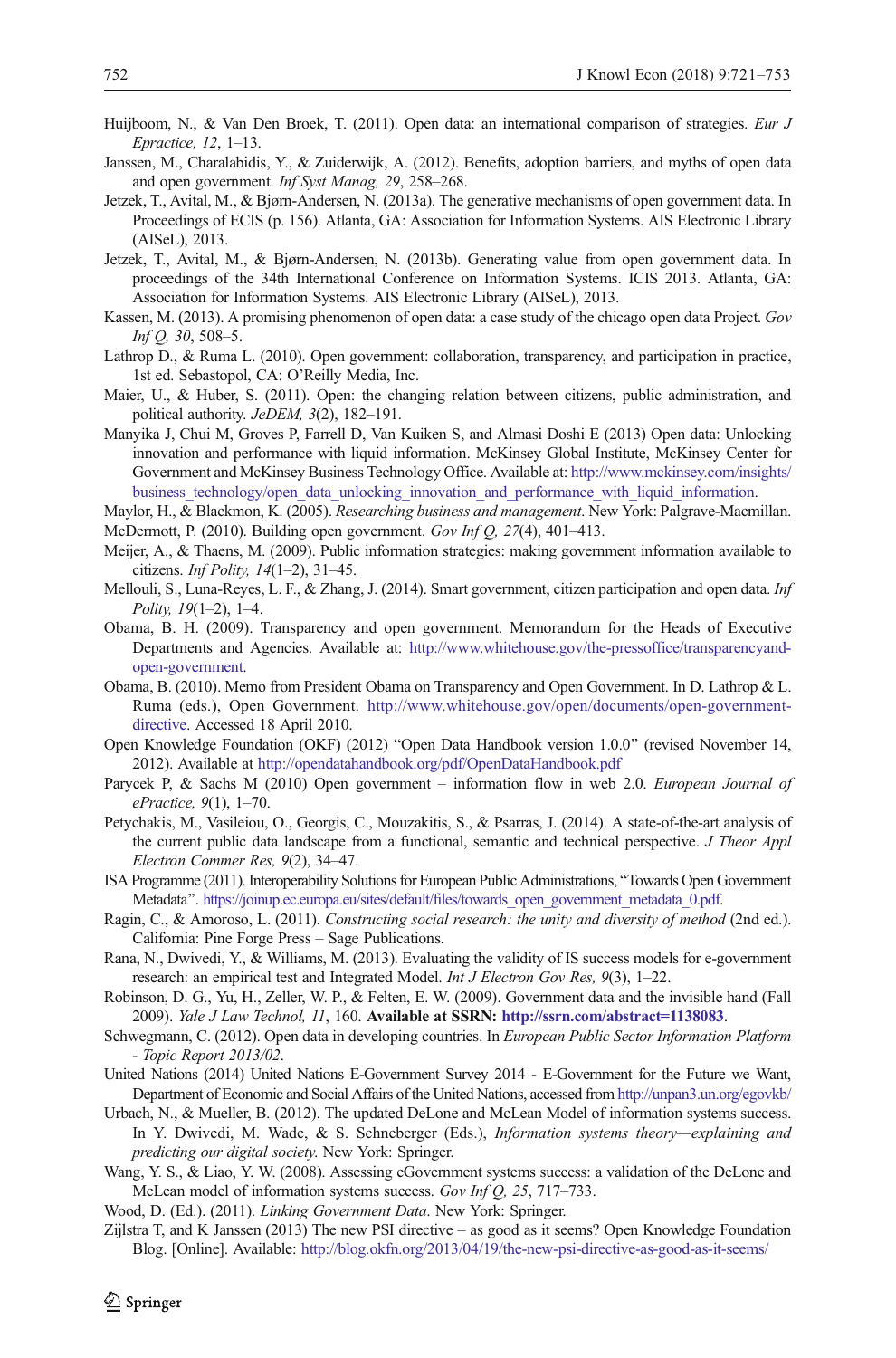- <span id="page-31-0"></span>Huijboom, N., & Van Den Broek, T. (2011). Open data: an international comparison of strategies. Eur J Epractice, 12, 1–13.
- Janssen, M., Charalabidis, Y., & Zuiderwijk, A. (2012). Benefits, adoption barriers, and myths of open data and open government. Inf Syst Manag, 29, 258–268.
- Jetzek, T., Avital, M., & Bjørn-Andersen, N. (2013a). The generative mechanisms of open government data. In Proceedings of ECIS (p. 156). Atlanta, GA: Association for Information Systems. AIS Electronic Library (AISeL), 2013.
- Jetzek, T., Avital, M., & Bjørn-Andersen, N. (2013b). Generating value from open government data. In proceedings of the 34th International Conference on Information Systems. ICIS 2013. Atlanta, GA: Association for Information Systems. AIS Electronic Library (AISeL), 2013.
- Kassen, M. (2013). A promising phenomenon of open data: a case study of the chicago open data Project. Gov Inf Q, 30, 508–5.
- Lathrop D., & Ruma L. (2010). Open government: collaboration, transparency, and participation in practice, 1st ed. Sebastopol, CA: O'Reilly Media, Inc.
- Maier, U., & Huber, S. (2011). Open: the changing relation between citizens, public administration, and political authority. JeDEM, 3(2), 182–191.
- Manyika J, Chui M, Groves P, Farrell D, Van Kuiken S, and Almasi Doshi E (2013) Open data: Unlocking innovation and performance with liquid information. McKinsey Global Institute, McKinsey Center for Government and McKinsey Business Technology Office. Available at: [http://www.mckinsey.com/insights/](http://www.mckinsey.com/insights/business_technology/open_data_unlocking_innovation_and_performance_with_liquid_information) business technology/open data unlocking innovation and performance with liquid information.

Maylor, H., & Blackmon, K. (2005). Researching business and management. New York: Palgrave-Macmillan. McDermott, P. (2010). Building open government. Gov Inf Q, 27(4), 401-413.

- Meijer, A., & Thaens, M. (2009). Public information strategies: making government information available to citizens. Inf Polity, 14(1–2), 31–45.
- Mellouli, S., Luna-Reyes, L. F., & Zhang, J. (2014). Smart government, citizen participation and open data. Inf Polity, 19(1–2), 1–4.
- Obama, B. H. (2009). Transparency and open government. Memorandum for the Heads of Executive Departments and Agencies. Available at: [http://www.whitehouse.gov/the-pressoffice/transparencyand](http://www.whitehouse.gov/the-pressoffice/transparencyand-open-government)[open-government](http://www.whitehouse.gov/the-pressoffice/transparencyand-open-government).
- Obama, B. (2010). Memo from President Obama on Transparency and Open Government. In D. Lathrop & L. Ruma (eds.), Open Government. [http://www.whitehouse.gov/open/documents/open-government](http://www.whitehouse.gov/open/documents/open-government-directive)[directive.](http://www.whitehouse.gov/open/documents/open-government-directive) Accessed 18 April 2010.
- Open Knowledge Foundation (OKF) (2012) "Open Data Handbook version 1.0.0" (revised November 14, 2012). Available at <http://opendatahandbook.org/pdf/OpenDataHandbook.pdf>
- Parycek P, & Sachs M (2010) Open government information flow in web 2.0. European Journal of ePractice, 9(1), 1–70.
- Petychakis, M., Vasileiou, O., Georgis, C., Mouzakitis, S., & Psarras, J. (2014). A state-of-the-art analysis of the current public data landscape from a functional, semantic and technical perspective. J Theor Appl Electron Commer Res, 9(2), 34–47.
- ISA Programme (2011). Interoperability Solutions for European Public Administrations, "Towards Open Government Metadata". [https://joinup.ec.europa.eu/sites/default/files/towards\\_open\\_government\\_metadata\\_0.pdf](https://joinup.ec.europa.eu/sites/default/files/towards_open_government_metadata_0.pdf).
- Ragin, C., & Amoroso, L. (2011). Constructing social research: the unity and diversity of method (2nd ed.). California: Pine Forge Press – Sage Publications.
- Rana, N., Dwivedi, Y., & Williams, M. (2013). Evaluating the validity of IS success models for e-government research: an empirical test and Integrated Model. Int J Electron Gov Res, 9(3), 1–22.
- Robinson, D. G., Yu, H., Zeller, W. P., & Felten, E. W. (2009). Government data and the invisible hand (Fall 2009). Yale J Law Technol, 11, 160. Available at SSRN: [http://ssrn.com/abstract=1138083](http://dx.doi.org/http://ssrn.com/abstract=1138083).
- Schwegmann, C. (2012). Open data in developing countries. In European Public Sector Information Platform - Topic Report 2013/02.
- United Nations (2014) United Nations E-Government Survey 2014 E-Government for the Future we Want, Department of Economic and Social Affairs of the United Nations, accessed from <http://unpan3.un.org/egovkb/>
- Urbach, N., & Mueller, B. (2012). The updated DeLone and McLean Model of information systems success. In Y. Dwivedi, M. Wade, & S. Schneberger (Eds.), Information systems theory—explaining and predicting our digital society. New York: Springer.
- Wang, Y. S., & Liao, Y. W. (2008). Assessing eGovernment systems success: a validation of the DeLone and McLean model of information systems success. Gov Inf Q, 25, 717–733.
- Wood, D. (Ed.). (2011). Linking Government Data. New York: Springer.
- Zijlstra T, and K Janssen (2013) The new PSI directive as good as it seems? Open Knowledge Foundation Blog. [Online]. Available: <http://blog.okfn.org/2013/04/19/the-new-psi-directive-as-good-as-it-seems/>